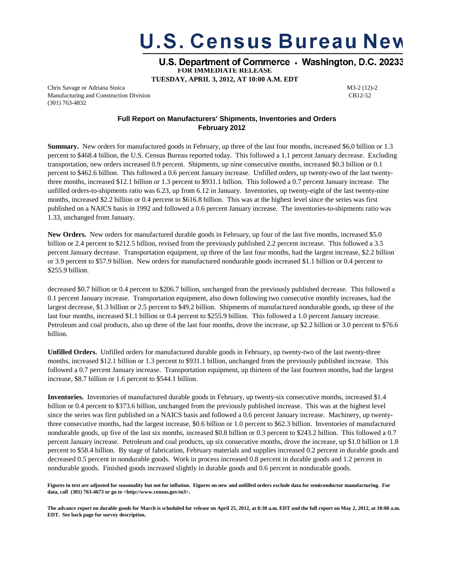# **U.S. Census Bureau New**

#### U.S. Department of Commerce • Washington, D.C. 20233 **FOR IMMEDIATE RELEASE**

**TUESDAY, APRIL 3, 2012, AT 10:00 A.M. EDT**

Chris Savage or Adriana Stoica M3-2 (12)-2 Manufacturing and Construction Division CB12-52 (301) 763-4832

## **Full Report on Manufacturers' Shipments, Inventories and Orders February 2012**

**Summary.** New orders for manufactured goods in February, up three of the last four months, increased \$6.0 billion or 1.3 percent to \$468.4 billion, the U.S. Census Bureau reported today. This followed a 1.1 percent January decrease. Excluding transportation, new orders increased 0.9 percent. Shipments, up nine consecutive months, increased \$0.3 billion or 0.1 percent to \$462.6 billion. This followed a 0.6 percent January increase. Unfilled orders, up twenty-two of the last twentythree months, increased \$12.1 billion or 1.3 percent to \$931.1 billion. This followed a 0.7 percent January increase. The unfilled orders-to-shipments ratio was 6.23, up from 6.12 in January. Inventories, up twenty-eight of the last twenty-nine months, increased \$2.2 billion or 0.4 percent to \$616.8 billion. This was at the highest level since the series was first published on a NAICS basis in 1992 and followed a 0.6 percent January increase. The inventories-to-shipments ratio was 1.33, unchanged from January.

**New Orders.** New orders for manufactured durable goods in February, up four of the last five months, increased \$5.0 billion or 2.4 percent to \$212.5 billion, revised from the previously published 2.2 percent increase. This followed a 3.5 percent January decrease. Transportation equipment, up three of the last four months, had the largest increase, \$2.2 billion or 3.9 percent to \$57.9 billion. New orders for manufactured nondurable goods increased \$1.1 billion or 0.4 percent to \$255.9 billion.

**p** g  $\alpha$  g  $\beta$  y g  $\beta$  y g  $\beta$  y g  $\beta$  y g  $\beta$  y  $\beta$  y  $\beta$  y  $\beta$  y  $\beta$  y  $\beta$ decreased \$0.7 billion or 0.4 percent to \$206.7 billion, unchanged from the previously published decrease. This followed a 0.1 percent January increase. Transportation equipment, also down following two consecutive monthly increases, had the largest decrease, \$1.3 billion or 2.5 percent to \$49.2 billion. Shipments of manufactured nondurable goods, up three of the last four months, increased \$1.1 billion or 0.4 percent to \$255.9 billion. This followed a 1.0 percent January increase. Petroleum and coal products, also up three of the last four months, drove the increase, up \$2.2 billion or 3.0 percent to \$76.6 billion.

**Unfilled Orders.** Unfilled orders for manufactured durable goods in February, up twenty-two of the last twenty-three months, increased \$12.1 billion or 1.3 percent to \$931.1 billion, unchanged from the previously published increase. This followed a 0.7 percent January increase. Transportation equipment, up thirteen of the last fourteen months, had the largest increase, \$8.7 billion or 1.6 percent to \$544.1 billion.

**Inventories.** Inventories of manufactured durable goods in February, up twenty-six consecutive months, increased \$1.4 billion or 0.4 percent to \$373.6 billion, unchanged from the previously published increase. This was at the highest level since the series was first published on a NAICS basis and followed a 0.6 percent January increase. Machinery, up twentythree consecutive months, had the largest increase, \$0.6 billion or 1.0 percent to \$62.3 billion. Inventories of manufactured nondurable goods, up five of the last six months, increased \$0.8 billion or 0.3 percent to \$243.2 billion. This followed a 0.7 percent January increase. Petroleum and coal products, up six consecutive months, drove the increase, up \$1.0 billion or 1.8 percent to \$58.4 billion. By stage of fabrication, February materials and supplies increased 0.2 percent in durable goods and decreased 0.5 percent in nondurable goods. Work in process increased 0.8 percent in durable goods and 1.2 percent in nondurable goods. Finished goods increased slightly in durable goods and 0.6 percent in nondurable goods.

**Figures in text are adjusted for seasonality but not for inflation. Figures on new and unfilled orders exclude data for semiconductor manufacturing. For data, call (301) 763-4673 or go to <http://www.census.gov/m3>.** 

**The advance report on durable goods for March is scheduled for release on April 25, 2012, at 8:30 a.m. EDT and the full report on May 2, 2012, at 10:00 a.m. EDT. See back page for survey description.**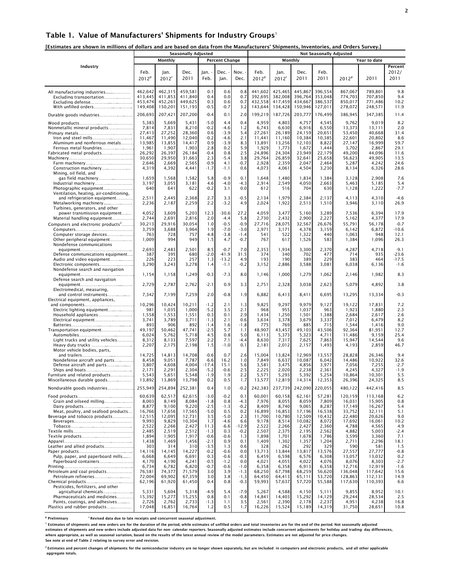#### Table 1. Value of Manufacturers' Shipments for Industry Groups<sup>1</sup>

[Estimates are shown in millions of dollars and are based on data from the Manufacturers' Shipments, Inventories, and Orders Survey.]

|                                                                                                                                                                                                                                                                                                                  |                                                                                                                                                                     |                                                                                                                                                                     | <b>Seasonally Adjusted</b>                                                                                                                                           |                                                                                                                                                              |                                                                                                                                                    |                                                                                                                                                        |                                                                                                                                                                     |                                                                                                                                                                     |                                                                                                                                                                      | <b>Not Seasonally Adjusted</b>                                                                                                                                      |                                                                                                                                                                              |                                                                                                                                                                              |                                                                                                                                            |
|------------------------------------------------------------------------------------------------------------------------------------------------------------------------------------------------------------------------------------------------------------------------------------------------------------------|---------------------------------------------------------------------------------------------------------------------------------------------------------------------|---------------------------------------------------------------------------------------------------------------------------------------------------------------------|----------------------------------------------------------------------------------------------------------------------------------------------------------------------|--------------------------------------------------------------------------------------------------------------------------------------------------------------|----------------------------------------------------------------------------------------------------------------------------------------------------|--------------------------------------------------------------------------------------------------------------------------------------------------------|---------------------------------------------------------------------------------------------------------------------------------------------------------------------|---------------------------------------------------------------------------------------------------------------------------------------------------------------------|----------------------------------------------------------------------------------------------------------------------------------------------------------------------|---------------------------------------------------------------------------------------------------------------------------------------------------------------------|------------------------------------------------------------------------------------------------------------------------------------------------------------------------------|------------------------------------------------------------------------------------------------------------------------------------------------------------------------------|--------------------------------------------------------------------------------------------------------------------------------------------|
|                                                                                                                                                                                                                                                                                                                  |                                                                                                                                                                     | Monthly                                                                                                                                                             |                                                                                                                                                                      |                                                                                                                                                              | <b>Percent Change</b>                                                                                                                              |                                                                                                                                                        |                                                                                                                                                                     | Monthly                                                                                                                                                             |                                                                                                                                                                      |                                                                                                                                                                     |                                                                                                                                                                              | Year to date                                                                                                                                                                 |                                                                                                                                            |
| Industry                                                                                                                                                                                                                                                                                                         | Feb.<br>2012 <sup>p</sup>                                                                                                                                           | Jan.<br>2012 <sup>r</sup>                                                                                                                                           | Dec.<br>2011                                                                                                                                                         | Jan. -<br>Feb.                                                                                                                                               | Dec. .<br>Jan.                                                                                                                                     | Nov.<br>Dec.                                                                                                                                           | Feb.<br>2012 <sup>p</sup>                                                                                                                                           | Jan.<br>2012 <sup>r</sup>                                                                                                                                           | Dec.<br>2011                                                                                                                                                         | Feb.<br>2011                                                                                                                                                        | 2012 <sup>p</sup>                                                                                                                                                            | 2011                                                                                                                                                                         | Percent<br>2012/<br>2011                                                                                                                   |
| All manufacturing industries<br>Excluding transportation<br>Excluding defense<br>With unfilled orders                                                                                                                                                                                                            | 462,642<br>413,445<br>453.474<br>149,408                                                                                                                            | 462,315<br>411.853<br>452,261<br>150,201                                                                                                                            | 459.581<br>411,840<br>449,625<br>151,193                                                                                                                             | 0.1<br>0.4<br>0.3<br>$-0.5$                                                                                                                                  | 0.6<br>0.0<br>0.6<br>$-0.7$                                                                                                                        | 0.8<br>0.7<br>0.7<br>3.2                                                                                                                               | 441,602<br>392,695<br>432,558<br>143,644                                                                                                                            | 425,465<br>382,008<br>417,459<br>134,428                                                                                                                            | 445,867<br>396.764<br>434,667                                                                                                                                        | 396,554<br>353,048<br>386,537<br>150,946 127,011                                                                                                                    | 867,067<br>774,703<br>850,017<br>278,072                                                                                                                                     | 789,801<br>707,850<br>771,486<br>248,571                                                                                                                                     | 9.8<br>9.4<br>10.2<br>11.9                                                                                                                 |
| Durable goods industries                                                                                                                                                                                                                                                                                         | 206,693                                                                                                                                                             | 207,421                                                                                                                                                             | 207,200                                                                                                                                                              | $-0.4$                                                                                                                                                       | 0.1                                                                                                                                                | 2.0                                                                                                                                                    | 199,219                                                                                                                                                             | 187,726                                                                                                                                                             |                                                                                                                                                                      | 203,777 176,499                                                                                                                                                     | 386,945                                                                                                                                                                      | 347,385                                                                                                                                                                      | 11.4                                                                                                                                       |
| Nonmetallic mineral products<br>Iron and steel mills<br>Aluminum and nonferrous metals<br>Ferrous metal foundries<br>Construction machinery                                                                                                                                                                      | 5,383<br>7,814<br>27,413<br>11,467<br>13,985<br>1,961<br>26,292<br>30,650<br>2,646<br>4,319                                                                         | 5,669<br>7,831<br>27,252<br>11,490<br>13,855<br>1,907<br>26,397<br>29,950<br>2,669<br>4,392                                                                         | 5,431<br>8,210<br>28.360<br>12,040<br>14,417<br>1,903<br>26,184<br>31,663<br>2,565<br>4,441                                                                          | $-5.0$<br>$-0.2$<br>0.6<br>$-0.2$<br>0.9<br>2.8<br>$-0.4$<br>2.3<br>$-0.9$<br>$-1.7$                                                                         | 4.4<br>$-4.6$<br>$-3.9$<br>$-4.6$<br>$-3.9$<br>0.2<br>0.8<br>$-5.4$<br>4.1<br>-1.1                                                                 | 0.4<br>1.2<br>5.4<br>2.1<br>8.3<br>5.9<br>2.5<br>3.8<br>$-0.7$<br>0.6                                                                                  | 4,959<br>6,743<br>27,261<br>11,441<br>13.891<br>1,929<br>24,896<br>29,764<br>2,928<br>4,073                                                                         | 4,803<br>6,630<br>26,189<br>11,160<br>13,256<br>1,773<br>24,304<br>26,859<br>2,359<br>4,061                                                                         | 4,757<br>6,916<br>24,159<br>10,384<br>12,103<br>1,672<br>23,949<br>32,641<br>2,047<br>4,504                                                                          | 4,545<br>6,550<br>20,651<br>10,385<br>8,822<br>1,444<br>22,179<br>25,658<br>2,464<br>3,230                                                                          | 9,762<br>13,373<br>53,450<br>22,601<br>27,147<br>3,702<br>49,200<br>56,623<br>5,287<br>8,134                                                                                 | 9,019<br>13,111<br>40,668<br>20,802<br>16,999<br>2,867<br>44,096<br>49,905<br>4,242<br>6,326                                                                                 | 8.2<br>2.0<br>31.4<br>8.6<br>59.7<br>29.1<br>11.6<br>13.5<br>24.6<br>28.6                                                                  |
| Mining, oil field, and<br>gas field machinery<br>Industrial machinery<br>Photographic equipment                                                                                                                                                                                                                  | 1,659<br>3,197<br>640                                                                                                                                               | 1,568<br>3,055<br>641                                                                                                                                               | 1,582<br>3,181<br>622                                                                                                                                                | 5.8<br>4.6<br>$-0.2$                                                                                                                                         | $-0.9$<br>$-4.0$<br>3.1                                                                                                                            | 0.1<br>-4.3<br>0.0                                                                                                                                     | 1,648<br>2,914<br>612                                                                                                                                               | 1,480<br>2,549<br>516                                                                                                                                               | 1,834<br>4,050<br>704                                                                                                                                                | 1,384<br>2,663<br>630                                                                                                                                               | 3,128<br>5,463<br>1,128                                                                                                                                                      | 2,908<br>5,185<br>1,222                                                                                                                                                      | 7.6<br>5.4<br>$-7.7$                                                                                                                       |
| Ventilation, heating, air-conditioning,<br>and refrigeration equipment<br>Metalworking machinery<br>Turbines, generators, and other                                                                                                                                                                              | 2,511<br>2,236                                                                                                                                                      | 2,445<br>2,187                                                                                                                                                      | 2,368<br>2,259                                                                                                                                                       | 2.7<br>2.2                                                                                                                                                   | 3.3<br>$-3.2$                                                                                                                                      | -0.5<br>4.9                                                                                                                                            | 2,134<br>2,024                                                                                                                                                      | 1,979<br>1,922                                                                                                                                                      | 2,384<br>2,513                                                                                                                                                       | 2,137<br>1,510                                                                                                                                                      | 4,113<br>3,946                                                                                                                                                               | 4,310<br>3,110                                                                                                                                                               | $-4.6$<br>26.9                                                                                                                             |
| power transmission equipment<br>Material handling equipment<br>Computers and electronic products <sup>2</sup><br>Computer storage devices<br>Other peripheral equipment<br>Nondefense communications                                                                                                             | 4,052<br>2,744<br>30,213<br>3,759<br>763<br>1,009                                                                                                                   | 3,609<br>2,691<br>29,916<br>3,688<br>728<br>994                                                                                                                     | 5,203<br>2,816<br>30,054<br>3,964<br>757<br>949                                                                                                                      | 12.3<br>2.0<br>1.0<br>1.9<br>4.8<br>1.5                                                                                                                      | $-30.6$<br>$-4.4$<br>$-0.5$<br>$-7.0$<br>$-3.8$<br>4.7                                                                                             | 27.2<br>5.8<br>$-0.9$<br>$-3.0$<br>$-1.4$<br>$-0.7$                                                                                                    | 4,059<br>2,730<br>27,716<br>2,971<br>541<br>767                                                                                                                     | 3,477<br>2,432<br>28,075<br>3,171<br>522<br>617                                                                                                                     | 5,160<br>2,900<br>32,567<br>4,378<br>1,322<br>1,526                                                                                                                  | 3,289<br>2,227<br>26,676<br>3,159<br>440<br>583                                                                                                                     | 7,536<br>5,162<br>55,791<br>6,142<br>1,063<br>1,384                                                                                                                          | 6,394<br>4,377<br>56,178<br>6,872<br>948<br>1,096                                                                                                                            | 17.9<br>17.9<br>$-0.7$<br>$-10.6$<br>12.1<br>26.3                                                                                          |
| Defense communications equipment<br>Audio and video equipment<br>Electronic components                                                                                                                                                                                                                           | 2,693<br>387<br>226<br>3,290                                                                                                                                        | 2,483<br>395<br>223<br>3,243                                                                                                                                        | 2,501<br>680<br>257<br>3,278                                                                                                                                         | 8.5<br>$-2.0$<br>1.3<br>1.4                                                                                                                                  | $-0.7$<br>-41.9<br>$-13.2$<br>$-1.1$                                                                                                               | 7.0<br>31.5<br>4.9<br>$-0.2$                                                                                                                           | 2,353<br>374<br>193<br>3,152                                                                                                                                        | 1,934<br>340<br>190<br>2,886                                                                                                                                        | 3,300<br>702<br>389<br>3,588                                                                                                                                         | 2,370<br>477<br>229<br>3,081                                                                                                                                        | 4,287<br>714<br>383<br>6,038                                                                                                                                                 | 4,718<br>935<br>464<br>6,136                                                                                                                                                 | $-9.1$<br>$-23.6$<br>$-17.5$<br>$-1.6$                                                                                                     |
| Nondefense search and navigation                                                                                                                                                                                                                                                                                 | 1,154                                                                                                                                                               | 1,158                                                                                                                                                               | 1,249                                                                                                                                                                | $-0.3$                                                                                                                                                       | $-7.3$                                                                                                                                             | 8.0                                                                                                                                                    | 1,146                                                                                                                                                               | 1,000                                                                                                                                                               | 1,279                                                                                                                                                                | 1,062                                                                                                                                                               | 2,146                                                                                                                                                                        | 1,982                                                                                                                                                                        | 8.3                                                                                                                                        |
| Defense search and navigation                                                                                                                                                                                                                                                                                    | 2,729                                                                                                                                                               | 2,787                                                                                                                                                               | 2,762                                                                                                                                                                | $-2.1$                                                                                                                                                       | 0.9                                                                                                                                                | 3.3                                                                                                                                                    | 2,751                                                                                                                                                               | 2,328                                                                                                                                                               | 3,038                                                                                                                                                                | 2,623                                                                                                                                                               | 5,079                                                                                                                                                                        | 4,892                                                                                                                                                                        | 3.8                                                                                                                                        |
| Electromedical, measuring,<br>and control instruments                                                                                                                                                                                                                                                            | 7,342                                                                                                                                                               | 7,199                                                                                                                                                               | 7,259                                                                                                                                                                | 2.0                                                                                                                                                          | $-0.8$                                                                                                                                             | 1.9                                                                                                                                                    | 6,882                                                                                                                                                               | 6,413                                                                                                                                                               | 8,411                                                                                                                                                                | 6,695                                                                                                                                                               | 13,295                                                                                                                                                                       | 13,334                                                                                                                                                                       | $-0.3$                                                                                                                                     |
| Electrical equipment, appliances,<br>Electric lighting equipment<br>Household appliances<br>Electrical equipment<br>Transportation equipment<br>Light trucks and utility vehicles                                                                                                                                | 10,296<br>981<br>1,558<br>3,741<br>893<br>49,197<br>6,024<br>8,312<br>2,207                                                                                         | 10,424<br>1,035<br>1,553<br>3,789<br>906<br>50,462<br>5,762<br>8,133<br>2,175                                                                                       | 10,211<br>1,000<br>1,551<br>3,711<br>892<br>47,741<br>5,718<br>7,597<br>2,198                                                                                        | $-1.2$<br>$-5.2$<br>0.3<br>$-1.3$<br>$-1.4$<br>$-2.5$<br>4.5<br>2.2<br>1.5                                                                                   | 2.1<br>3.5<br>0.1<br>2.1<br>1.6<br>5.7<br>0.8<br>7.1<br>$-1.0$                                                                                     | 1.3<br>2.1<br>2.9<br>0.6<br>$-1.8$<br>1.1<br>5.0<br>$-4.4$<br>0.1                                                                                      | 9,825<br>968<br>1,434<br>3,634<br>775<br>48,907<br>6,113<br>8,630<br>2,181                                                                                          | 9,297<br>955<br>1,250<br>3,378<br>769<br>43,457<br>5,373<br>7,317<br>2,012                                                                                          | 9,979<br>1,037<br>1,501<br>3,679<br>885<br>49,103<br>5,323<br>7,625<br>2,157                                                                                         | 9,127<br>963<br>1,388<br>3,337<br>715<br>43,506<br>4,711<br>7,863<br>1,493                                                                                          | 19,122<br>1,923<br>2,684<br>7,012<br>1,544<br>92,364<br>11,486<br>15,947<br>4,193                                                                                            | 17,831<br>1,880<br>2,617<br>6,479<br>1,416<br>81,951<br>9,159<br>14,544<br>2,859                                                                                             | 7.2<br>2.3<br>2.6<br>8.2<br>9.0<br>12.7<br>25.4<br>9.6<br>46.7                                                                             |
| Motor vehicle bodies, parts,<br>Nondefense aircraft and parts<br>Defense aircraft and parts<br>Furniture and related products<br>Miscellaneous durable goods                                                                                                                                                     | 14,725<br>8,458<br>3,807<br>2,171<br>5,543<br>13,892                                                                                                                | 14,813<br>9,051<br>4,608<br>2,291<br>5,651<br>13,869                                                                                                                | 14,708<br>7,787<br>4,004<br>2,304<br>5,548<br>13,798                                                                                                                 | $-0.6$<br>$-6.6$<br>$-17.4$<br>$-5.2$<br>$-1.9$<br>0.2                                                                                                       | 0.7<br>16.2<br>15.1<br>$-0.6$<br>1.9<br>0.5                                                                                                        | 2.6<br>1.0<br>5.6<br>2.5<br>2.2<br>1.7                                                                                                                 | 15,004<br>7,849<br>3,581<br>2,225<br>5,571<br>13,577                                                                                                                | 13,824<br>6,637<br>3,475<br>2,020<br>5,293<br>12,819                                                                                                                | 12,969<br>10,087<br>4,856<br>2,238<br>5,392<br>14,314                                                                                                                | 13,557<br>6,042<br>3,971<br>2,361<br>5,254<br>12,353                                                                                                                | 28,828<br>14,486<br>7,056<br>4,245<br>10,864<br>26,396                                                                                                                       | 26,346<br>10,922<br>7,255<br>4,327<br>10,301<br>24,325                                                                                                                       | 9.4<br>32.6<br>$-2.7$<br>$-1.9$<br>5.5<br>8.5                                                                                              |
| Nondurable goods industries                                                                                                                                                                                                                                                                                      | 255,949                                                                                                                                                             | 254,894                                                                                                                                                             | 252,381                                                                                                                                                              | 0.4                                                                                                                                                          | 1.0                                                                                                                                                | $-0.2$                                                                                                                                                 | 242,383                                                                                                                                                             | 237,739                                                                                                                                                             |                                                                                                                                                                      | 242,090 220,055                                                                                                                                                     | 480,122                                                                                                                                                                      | 442,416                                                                                                                                                                      | 8.5                                                                                                                                        |
| Grain and oilseed milling<br>Meat, poultry, and seafood products<br>Beverage and tobacco products<br>Leather and allied products<br>Pulp, paper, and paperboard mills<br>Paperboard containers<br>Petroleum and coal products<br>Petroleum refineries<br>Chemical products<br>Pesticides, fertilizers, and other | 60,639<br>8,003<br>8,877<br>16,766<br>12,515<br>9,993<br>2,522<br>2,485<br>1,894<br>1,438<br>303<br>14,116<br>6,668<br>4,170<br>6,734<br>76,581<br>72,004<br>62,196 | 62,517<br>8,149<br>9,100<br>17,656<br>12,095<br>9,829<br>2,266<br>2,519<br>1,905<br>1,469<br>314<br>14,145<br>6,649<br>4,190<br>6,782<br>74,377<br>69,902<br>61,920 | 62,615<br>8,084<br>9,220<br>17,565<br>12,731<br>10,304<br>2,427<br>2,512<br>1,917<br>1,456<br>310<br>14,227<br>6,691<br>4,241<br>6,820<br>71,579<br>67,359<br>61,450 | $-3.0$<br>$-1.8$<br>$-2.5$<br>$-5.0$<br>3.5<br>1.7<br>11.3<br>$-1.3$<br>$-0.6$<br>$-2.1$<br>$-3.5$<br>$-0.2$<br>0.3<br>$-0.5$<br>$-0.7$<br>3.0<br>3.0<br>0.4 | $-0.2$<br>0.8<br>-1.3<br>0.5<br>-5.0<br>$-4.6$<br>$-6.6$<br>0.3<br>$-0.6$<br>0.9<br>1.3<br>-0.6<br>$-0.6$<br>$-1.2$<br>$-0.6$<br>3.9<br>3.8<br>0.8 | 0.1<br>$-4.3$<br>$-0.2$<br>0.2<br>2.3<br>6.6<br>$-12.9$<br>$-0.2$<br>1.3<br>0.1<br>0.6<br>0.0<br>$-0.3$<br>0.0<br>$-1.0$<br>$-1.3$<br>$-1.3$<br>$-0.3$ | 60,001<br>7,976<br>8,409<br>16,899<br>11,700<br>9,178<br>2,522<br>2,507<br>1,898<br>1,409<br>328<br>13,713<br>6,459<br>4,021<br>6,358<br>68,250<br>64,450<br>59,993 | 60,158<br>8,055<br>8,740<br>16,853<br>10,780<br>8,514<br>2,266<br>2,375<br>1,701<br>1,302<br>262<br>13,844<br>6,598<br>4,055<br>6,358<br>67,798<br>64,413<br>57,637 | 62,161<br>8,059<br>9,065<br>17,196<br>12,509<br>10,082<br>2,427<br>2,195<br>1,678<br>1,357<br>292<br>13,817<br>6,576<br>4,022<br>6,913<br>68,259<br>65,111<br>57,720 | 57,281<br>7,809<br>8,287<br>16,538<br>10,432<br>8,072<br>2,360<br>2,562<br>1,786<br>1,204<br>329<br>13,576<br>6,308<br>4,076<br>6,358<br>56,620<br>53,720<br>55,588 | 120,159<br>16,031<br>17,149<br>33,752<br>22,480<br>17,692<br>4,788<br>4,882<br>3,599<br>2,711<br>590<br>27,557<br>13,057<br>8,076<br>12,716<br>136,048<br>128,863<br>117,630 | 113,168<br>15,905<br>16,267<br>32,111<br>20,626<br>16,061<br>4,565<br>5,003<br>3,360<br>2,296<br>581<br>27,777<br>13,032<br>8,303<br>12,919<br>117,642<br>112,131<br>110,393 | 6.2<br>0.8<br>5.4<br>5.1<br>9.0<br>10.2<br>4.9<br>$-2.4$<br>7.1<br>18.1<br>1.5<br>$-0.8$<br>0.2<br>$-2.7$<br>$-1.6$<br>15.6<br>14.9<br>6.6 |
| agricultural chemicals<br>Pharmaceuticals and medicines<br>Paints, coatings, and adhesives<br>Plastics and rubber products                                                                                                                                                                                       | 5,331<br>15,392<br>2,726<br>17,048                                                                                                                                  | 5,604<br>15,277<br>2,762<br>16,851                                                                                                                                  | 5,318<br>15,255<br>2,733<br>16,764                                                                                                                                   | $-4.9$<br>0.8<br>$-1.3$<br>1.2                                                                                                                               | 5.4<br>0.1<br>1.1<br>0.5                                                                                                                           | $-7.9$<br>$-0.8$<br>3.5<br>1.7                                                                                                                         | 5,267<br>14,841<br>2,561<br>16,226                                                                                                                                  | 4,588<br>14,403<br>2,390<br>15,524                                                                                                                                  | 4,150<br>15,292<br>2,178<br>15,189                                                                                                                                   | 5,111<br>14,129<br>2,237<br>14,319                                                                                                                                  | 9,855<br>29,244<br>4,951<br>31,750                                                                                                                                           | 8,952<br>28,534<br>4,238<br>28,651                                                                                                                                           | 10.1<br>2.5<br>16.8<br>10.8                                                                                                                |

<sup>p</sup> Preliminary  ${}^r$  Revised data due to late receipts and concurrent seasonal adjustment.

<sup>1</sup> Estimates of shipments and new orders are for the duration of the period, while estimates of unfilled orders and total inventories are for the end of the period. Not seasonally adjusted<br>estimates of shipments and new o where appropriate, as well as seasonal variation, based on the results of the latest annual review of the model parameters. Estimates are not adjusted for price changes. See note at end of Table 2 relating to survey error and revision.

 $2$  Estimates and percent changes of shipments for the semiconductor industry are no longer shown separately, but are included in computers and electronic products, and all other applicable aggregate totals.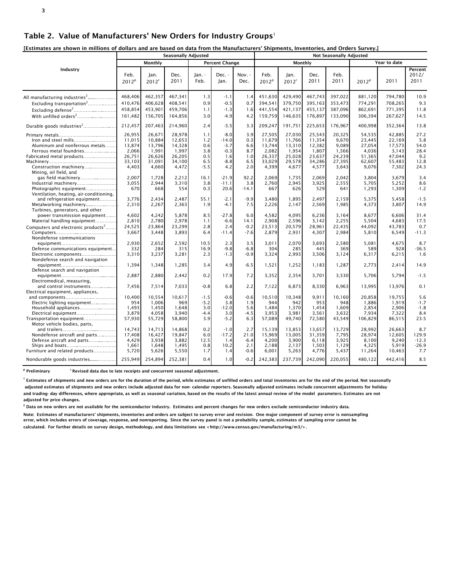#### Table 2. Value of Manufacturers' New Orders for Industry Groups<sup>1</sup>

|                                                                                                                                                                                                     |                                                                  |                                                                  | <b>Seasonally Adjusted</b>                                       |                                                  |                                                               |                                                  | <b>Not Seasonally Adjusted</b>                                   |                                                                  |                                                                  |                                                                |                                                                  |                                                                  |                                                    |
|-----------------------------------------------------------------------------------------------------------------------------------------------------------------------------------------------------|------------------------------------------------------------------|------------------------------------------------------------------|------------------------------------------------------------------|--------------------------------------------------|---------------------------------------------------------------|--------------------------------------------------|------------------------------------------------------------------|------------------------------------------------------------------|------------------------------------------------------------------|----------------------------------------------------------------|------------------------------------------------------------------|------------------------------------------------------------------|----------------------------------------------------|
|                                                                                                                                                                                                     |                                                                  | Monthly                                                          |                                                                  |                                                  | <b>Percent Change</b>                                         |                                                  |                                                                  | Monthly                                                          |                                                                  |                                                                |                                                                  | Year to date                                                     |                                                    |
| Industry                                                                                                                                                                                            | Feb.<br>2012 <sup>p</sup>                                        | Jan.<br>2012 <sup>r</sup>                                        | Dec.<br>2011                                                     | Jan. -<br>Feb.                                   | Dec. -<br>lan.                                                | Nov. -<br>Dec.                                   | Feb.<br>2012 <sup>p</sup>                                        | Jan.<br>2012 <sup>r</sup>                                        | Dec.<br>2011                                                     | Feb.<br>2011                                                   | 2012 <sup>p</sup>                                                | 2011                                                             | Percent<br>2012/<br>2011                           |
| All manufacturing industries <sup>2</sup><br>Excluding transportation <sup>2</sup>                                                                                                                  | 468,406<br>410.476                                               | 462,357<br>406.628                                               | 467.341<br>408.541                                               | 1.3<br>0.9                                       | $-1.1$<br>$-0.5$                                              | 1.4<br>0.7                                       | 451.630<br>394,541                                               | 429,490<br>379,750                                               | 467,743<br>395.163                                               | 397,022<br>353,473                                             | 881,120<br>774,291                                               | 794.780<br>708,265                                               | 10.9<br>9.3                                        |
| Excluding defense <sup>2</sup><br>With unfilled orders <sup>2</sup>                                                                                                                                 | 458,854<br>161,482                                               | 453,901<br>156,705                                               | 459.706<br>164,856                                               | 1.1<br>3.0                                       | $-1.3$<br>$-4.9$                                              | 1.6<br>4.2                                       | 441,554<br>159,759                                               | 421,137<br>146,635                                               | 455,137<br>176,897                                               | 387,096<br>133,090                                             | 862,691<br>306,394                                               | 771,395<br>267,627                                               | 11.8<br>14.5                                       |
| Durable goods industries <sup>2</sup>                                                                                                                                                               | 212,457                                                          | 207,463                                                          | 214,960                                                          | 2.4                                              | $-3.5$                                                        | 3.3                                              | 209,247                                                          | 191,751                                                          | 225,653                                                          | 176,967                                                        | 400,998                                                          | 352,364                                                          | 13.8                                               |
| Iron and steel mills<br>Aluminum and nonferrous metals<br>Ferrous metal foundries<br>Fabricated metal products<br>Construction machinery                                                            | 26.955<br>11,015<br>13,874<br>2,066<br>26,751<br>33,103<br>4,403 | 26.671<br>10,884<br>13,796<br>1.991<br>26,626<br>31,091<br>4,660 | 28.978<br>12,653<br>14,328<br>1,997<br>26,205<br>34,100<br>4,472 | 1.1<br>1.2<br>0.6<br>3.8<br>0.5<br>6.5<br>$-5.5$ | $-8.0$<br>$-14.0$<br>$-3.7$<br>$-0.3$<br>1.6<br>$-8.8$<br>4.2 | 3.9<br>0.3<br>6.6<br>8.7<br>1.0<br>6.5<br>2.0    | 27,505<br>11,679<br>13,744<br>2.082<br>26,337<br>33,029<br>4,399 | 27,030<br>11,766<br>13,310<br>1,954<br>25,028<br>29,578<br>4,677 | 25,543<br>11,354<br>12,382<br>1,807<br>23,637<br>34,286<br>4,577 | 20.325<br>9.670<br>9,089<br>1,566<br>24,239<br>27,395<br>3,643 | 54.535<br>23,445<br>27,054<br>4,036<br>51,365<br>62,607<br>9,076 | 42.885<br>22,169<br>17,573<br>3,143<br>47,044<br>55,483<br>7,302 | 27.2<br>5.8<br>54.0<br>28.4<br>9.2<br>12.8<br>24.3 |
| Mining, oil field, and<br>gas field machinery<br>Industrial machinery<br>Photographic equipment<br>Ventilation, heating, air-conditioning,<br>and refrigeration equipment<br>Metalworking machinery | 2,007<br>3,055<br>670<br>3,776<br>2,310                          | 1,728<br>2,944<br>668<br>2,434<br>2,267                          | 2,212<br>3,310<br>554<br>2,487<br>2,363                          | 16.1<br>3.8<br>0.3<br>55.1<br>1.9                | $-21.9$<br>$-11.1$<br>20.6<br>$-2.1$<br>$-4.1$                | 92.2<br>3.8<br>$-14.1$<br>$-9.9$<br>7.5          | 2,069<br>2,760<br>667<br>3,480<br>2,226                          | 1,735<br>2,945<br>626<br>1,895<br>2,147                          | 2,069<br>3,925<br>529<br>2,497<br>2,569                          | 2,042<br>2,555<br>641<br>2,159<br>1,985                        | 3,804<br>5,705<br>1,293<br>5,375<br>4,373                        | 3,679<br>5,252<br>1,309<br>5,458<br>3,807                        | 3.4<br>8.6<br>$-1.2$<br>$-1.5$<br>14.9             |
| Turbines, generators, and other<br>power transmission equipment<br>Material handling equipment                                                                                                      | 4,602<br>2,810                                                   | 4,242<br>2,780                                                   | 5,878<br>2,978                                                   | 8.5<br>1.1                                       | $-27.8$<br>$-6.6$                                             | 6.0<br>14.1                                      | 4,582<br>2,908                                                   | 4,095<br>2,596                                                   | 6,236<br>3,142                                                   | 3,164<br>2,255                                                 | 8,677<br>5,504                                                   | 6,606<br>4,683                                                   | 31.4<br>17.5                                       |
| Computers and electronic products <sup>2</sup><br>Nondefense communications                                                                                                                         | 24,525<br>3,667                                                  | 23,864<br>3,448                                                  | 23,299<br>3,893                                                  | 2.8<br>6.4                                       | 2.4<br>$-11.4$                                                | $-0.2$<br>$-7.6$                                 | 23,513<br>2,879                                                  | 20,579<br>2,931                                                  | 28,961<br>4,307                                                  | 22,435<br>2,984                                                | 44,092<br>5,810                                                  | 43,783<br>6,549                                                  | 0.7<br>$-11.3$                                     |
| Defense communications equipment<br>Electronic components                                                                                                                                           | 2,930<br>332<br>3,310                                            | 2.652<br>284<br>3,237                                            | 2,592<br>315<br>3,281                                            | 10.5<br>16.9<br>2.3                              | 2.3<br>$-9.8$<br>$-1.3$                                       | 3.5<br>$-6.8$<br>$-0.9$                          | 3,011<br>304<br>3,324                                            | 2,070<br>285<br>2,993                                            | 3,693<br>445<br>3,506                                            | 2,580<br>369<br>3,124                                          | 5,081<br>589<br>6,317                                            | 4,675<br>928<br>6,215                                            | 8.7<br>$-36.5$<br>1.6                              |
| Nondefense search and navigation                                                                                                                                                                    | 1,394                                                            | 1,348                                                            | 1,285                                                            | 3.4                                              | 4.9                                                           | $-6.5$                                           | 1,521                                                            | 1,252                                                            | 1,183                                                            | 1,287                                                          | 2,773                                                            | 2,414                                                            | 14.9                                               |
| Defense search and navigation<br>Electromedical, measuring,                                                                                                                                         | 2,887                                                            | 2,880                                                            | 2,442                                                            | 0.2                                              | 17.9                                                          | 7.2                                              | 3,352                                                            | 2,354                                                            | 3,701                                                            | 3,530                                                          | 5,706                                                            | 5.794                                                            | $-1.5$                                             |
| and control instruments<br>Electrical equipment, appliances,                                                                                                                                        | 7,456                                                            | 7,514                                                            | 7,033                                                            | $-0.8$                                           | 6.8                                                           | 2.2                                              | 7,122                                                            | 6,873                                                            | 8,330                                                            | 6,963                                                          | 13,995                                                           | 13,976                                                           | 0.1                                                |
| Electric lighting equipment<br>Household appliances<br>Electrical equipment<br>Transportation equipment                                                                                             | 10,400<br>954<br>1,493<br>3,879<br>57,930                        | 10,554<br>1,006<br>1,450<br>4,058<br>55,729                      | 10,617<br>969<br>1,648<br>3,940<br>58,800                        | $-1.5$<br>$-5.2$<br>3.0<br>$-4.4$<br>3.9         | $-0.6$<br>3.8<br>$-12.0$<br>3.0<br>$-5.2$                     | $-0.6$<br>1.9<br>5.6<br>$-4.5$<br>6.3            | 10,510<br>944<br>1,484<br>3,953<br>57,089                        | 10,348<br>942<br>1,370<br>3,981<br>49,740                        | 9,911<br>953<br>1,454<br>3,561<br>72,580                         | 10,160<br>948<br>1,609<br>3,632<br>43,549                      | 20,858<br>1,886<br>2,854<br>7,934<br>106,829                     | 19,755<br>1,919<br>2,906<br>7,322<br>86,515                      | 5.6<br>$-1.7$<br>$-1.8$<br>8.4<br>23.5             |
| Motor vehicle bodies, parts,<br>Nondefense aircraft and parts<br>Defense aircraft and parts<br>Furniture and related products<br>Nondurable goods industries                                        | 14.743<br>17,408<br>4,429<br>1,661<br>5,720<br>255,949           | 14.713<br>16,427<br>3,938<br>1,648<br>5,626<br>254,894           | 14.868<br>19,847<br>3,882<br>1,495<br>5,550<br>252,381           | 0.2<br>6.0<br>12.5<br>0.8<br>1.7<br>0.4          | $-1.0$<br>$-17.2$<br>1.4<br>10.2<br>1.4<br>1.0                | 2.7<br>21.0<br>$-6.4$<br>2.1<br>$-0.6$<br>$-0.2$ | 15,139<br>15,969<br>4,200<br>2,188<br>6,001<br>242,383           | 13.853<br>13,005<br>3,900<br>2,137<br>5,263<br>237,739           | 13.657<br>31,359<br>6,118<br>1,503<br>4,776<br>242,090           | 13.729<br>7,795<br>3,925<br>1,129<br>5,437<br>220,055          | 28.992<br>28,974<br>8,100<br>4,325<br>11,264<br>480,122          | 26.663<br>12,605<br>9,240<br>5,919<br>10,463<br>442.416          | 8.7<br>129.9<br>$-12.3$<br>$-26.9$<br>7.7<br>8.5   |

<sup>p</sup> Preliminary  ${}^r$  Revised data due to late receipts and concurrent seasonal adjustment.

 $^{\rm I}$  Estimates of shipments and new orders are for the duration of the period, while estimates of unfilled orders and total inventories are for the end of the period. Not seasonally adjusted estimates of shipments and new orders include adjusted data for non- calendar reporters. Seasonally adjusted estimates include concurrent adjustments for holiday and trading- day differences, where appropriate, as well as seasonal variation, based on the results of the latest annual review of the model parameters. Estimates are not adjusted for price changes.

 $^{\rm 2}$  Data on new orders are not available for the semiconductor industry. Estimates and percent changes for new orders exclude semiconductor industry data. Note: Estimates of manufacturers' shipments, inventories and orders are subject to survey error and revision. One major component of survey error is nonsampling error, which includes errors of coverage, response, and nonreporting. Since the survey panel is not a probability sample, estimates of sampling error cannot be calculated. For further details on survey design, methodology, and data limitations see < http://www.census.gov/manufacturing/m3/> .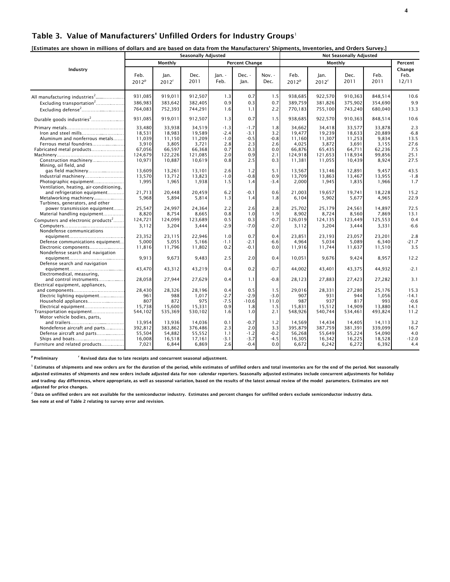#### Table 3. Value of Manufacturers' Unfilled Orders for Industry Groups<sup>1</sup>

|  | [Estimates are shown in millions of dollars and are based on data from the Manufacturers' Shipments, Inventories, and Orders Survey.] |  |  |
|--|---------------------------------------------------------------------------------------------------------------------------------------|--|--|
|  |                                                                                                                                       |  |  |

|                                                | Monthly                                                                                                                                                                                                                                                                                                                                                                                                                                                                                                                           |                                                |                                    |                                                 |                                       |                                                |                                                |                                                |                                                | Percent                                                       |
|------------------------------------------------|-----------------------------------------------------------------------------------------------------------------------------------------------------------------------------------------------------------------------------------------------------------------------------------------------------------------------------------------------------------------------------------------------------------------------------------------------------------------------------------------------------------------------------------|------------------------------------------------|------------------------------------|-------------------------------------------------|---------------------------------------|------------------------------------------------|------------------------------------------------|------------------------------------------------|------------------------------------------------|---------------------------------------------------------------|
| Feb.<br>2012 <sup>p</sup>                      | Jan.<br>2012 <sup>r</sup>                                                                                                                                                                                                                                                                                                                                                                                                                                                                                                         | Dec.<br>2011                                   | Jan. -<br>Feb.                     | Dec. -<br>lan.                                  | Nov. -<br>Dec.                        | Feb.<br>2012 <sup>p</sup>                      | Jan.<br>2012 <sup>r</sup>                      | Dec.<br>2011                                   | Feb.<br>2011                                   | Change<br>Feb.<br>12/11                                       |
| 931,085                                        | 919,011                                                                                                                                                                                                                                                                                                                                                                                                                                                                                                                           | 912,507                                        | 1.3                                | 0.7                                             | 1.5                                   | 938,685                                        | 922,570                                        | 910,363                                        | 848,514                                        | 10.6                                                          |
| 764,083                                        | 752,393                                                                                                                                                                                                                                                                                                                                                                                                                                                                                                                           | 744,291                                        | 1.6                                | 1.1                                             | 2.2                                   | 770,183                                        | 755,100                                        | 743,240                                        | 680,040                                        | 9.9<br>13.3                                                   |
| 931,085                                        | 919,011                                                                                                                                                                                                                                                                                                                                                                                                                                                                                                                           | 912,507                                        | 1.3                                | 0.7                                             | 1.5                                   | 938,685                                        | 922,570                                        | 910,363                                        | 848,514                                        | 10.6                                                          |
| 33,480<br>18,531<br>11,039<br>3,910            | 33,938<br>18,983<br>11,150<br>3,805                                                                                                                                                                                                                                                                                                                                                                                                                                                                                               | 34,519<br>19,589<br>11,209<br>3,721            | $-1.3$<br>$-2.4$<br>$-1.0$<br>2.8  | $-1.7$<br>$-3.1$<br>$-0.5$<br>2.3               | 1.8<br>3.2<br>$-0.8$<br>2.6           | 34,662<br>19,477<br>11,160<br>4,025            | 34,418<br>19,239<br>11,307<br>3,872            | 33,577<br>18,633<br>11,253<br>3,691            | 33,878<br>20,889<br>9,834<br>3,155             | 2.3<br>$-6.8$<br>13.5<br>27.6<br>7.5                          |
| 124,679<br>10,971                              | 122,226<br>10,887                                                                                                                                                                                                                                                                                                                                                                                                                                                                                                                 | 121,085<br>10,619                              | 2.0<br>0.8                         | 0.9<br>2.5                                      | 2.1<br>0.3                            | 124,918<br>11,381                              | 121,653<br>11,055                              | 118,934<br>10,439                              | 99,856<br>8,924                                | 25.1<br>27.5                                                  |
| 13,609<br>13,570<br>1,995                      | 13,261<br>13,712<br>1,965                                                                                                                                                                                                                                                                                                                                                                                                                                                                                                         | 13,101<br>13,823<br>1,938                      | 2.6<br>$-1.0$<br>1.5               | 1.2<br>$-0.8$<br>1.4                            | 5.1<br>0.9<br>$-3.4$                  | 13,567<br>13,709<br>2,000                      | 13,146<br>13.863<br>1,945                      | 12,891<br>13.467<br>1,835                      | 9,457<br>13.955<br>1,966                       | 43.5<br>$-1.8$<br>1.7                                         |
| 21,713<br>5,968                                | 20,448<br>5,894                                                                                                                                                                                                                                                                                                                                                                                                                                                                                                                   | 20,459<br>5,814                                | 6.2<br>1.3                         | $-0.1$<br>1.4                                   | 0.6<br>1.8                            | 21,003<br>6,104                                | 19.657<br>5,902                                | 19.741<br>5,677                                | 18,228<br>4,965                                | 15.2<br>22.9                                                  |
| 8,820                                          | 8,754                                                                                                                                                                                                                                                                                                                                                                                                                                                                                                                             | 24,364<br>8,665                                | 0.8                                | 2.6<br>1.0                                      | 1.9                                   | 25,702<br>8,902                                | 8,724                                          | 24,561<br>8,560                                | 7,869                                          | 72.5<br>13.1                                                  |
| 124,721<br>3,112                               | 124,099<br>3,204                                                                                                                                                                                                                                                                                                                                                                                                                                                                                                                  | 123,689<br>3,444                               | 0.5<br>$-2.9$                      | 0.3<br>$-7.0$                                   | $-0.7$<br>$-2.0$                      | 126,019<br>3,112                               | 124,135<br>3,204                               | 123,449<br>3,444                               | 125,553<br>3,331                               | 0.4<br>$-6.6$                                                 |
| 23,352<br>5.000<br>11,816                      | 23,115<br>5.055<br>11,796                                                                                                                                                                                                                                                                                                                                                                                                                                                                                                         | 22,946<br>5.166<br>11,802                      | 1.0<br>$-1.1$<br>0.2               | 0.7<br>$-2.1$<br>$-0.1$                         | 0.4<br>$-6.6$<br>0.0                  | 23,851<br>4.964<br>11,916                      | 23,193<br>5.034<br>11,744                      | 23,057<br>5.089<br>11,637                      | 23,201<br>6.340<br>11,510                      | 2.8<br>$-21.7$<br>3.5                                         |
| 9.913                                          | 9,673                                                                                                                                                                                                                                                                                                                                                                                                                                                                                                                             | 9,483                                          | 2.5                                | 2.0                                             | 0.4                                   | 10,051                                         | 9,676                                          | 9,424                                          | 8,957                                          | 12.2                                                          |
| 43,470                                         | 43,312                                                                                                                                                                                                                                                                                                                                                                                                                                                                                                                            | 43,219                                         | 0.4                                | 0.2                                             | $-0.7$                                | 44.002                                         | 43,401                                         | 43,375                                         | 44,932                                         | $-2.1$                                                        |
| 28.058                                         | 27,944                                                                                                                                                                                                                                                                                                                                                                                                                                                                                                                            | 27,629                                         | 0.4                                | 1.1                                             | $-0.8$                                | 28,123                                         | 27,883                                         | 27,423                                         | 27,282                                         | 3.1                                                           |
| 28,430<br>961<br>807<br>15,738                 | 28,326<br>988<br>872<br>15,600                                                                                                                                                                                                                                                                                                                                                                                                                                                                                                    | 28,196<br>1,017<br>975<br>15,331               | 0.4<br>$-2.7$<br>$-7.5$<br>0.9     | 0.5<br>$-2.9$<br>$-10.6$<br>1.8                 | 1.5<br>$-3.0$<br>11.0<br>1.5          | 29.016<br>907<br>987<br>15,831                 | 28,331<br>931<br>937<br>15,512                 | 27,280<br>944<br>817<br>14,909                 | 25,176<br>1,056<br>993<br>13,880               | 15.3<br>$-14.1$<br>$-0.6$<br>14.1                             |
| 544,102                                        | 535,369                                                                                                                                                                                                                                                                                                                                                                                                                                                                                                                           | 530,102                                        | 1.6                                | 1.0                                             | 2.1                                   | 548,926                                        | 540,744                                        | 534,461                                        | 493,824                                        | 11.2                                                          |
| 13,954<br>392,812<br>55,504<br>16,008<br>7.021 | 13,936<br>383,862<br>54,882<br>16,518<br>6.844                                                                                                                                                                                                                                                                                                                                                                                                                                                                                    | 14,036<br>376,486<br>55,552<br>17,161<br>6,869 | 0.1<br>2.3<br>1.1<br>$-3.1$<br>2.6 | $-0.7$<br>2.0<br>$-1.2$<br>$-3.7$<br>$-0.4$     | 1.2<br>3.3<br>$-0.2$<br>$-4.5$<br>0.0 | 14,569<br>395,879<br>56,268<br>16,305<br>6,672 | 14,434<br>387,759<br>55,649<br>16,342<br>6,242 | 14,405<br>381,391<br>55,224<br>16,225<br>6,272 | 14,113<br>339,099<br>54,090<br>18,528<br>6.392 | 3.2<br>16.7<br>4.0<br>$-12.0$<br>4.4                          |
|                                                | 386.983<br>Excluding transportation <sup>2</sup><br>Iron and steel mills<br>Aluminum and nonferrous metals<br>Ferrous metal foundries<br>67,056<br>Construction machinery<br>gas field machinery<br>Industrial machinery<br>Photographic equipment<br>Metalworking machinery<br>25,547<br>Material handling equipment<br>Electric lighting equipment<br>Household appliances<br>Electrical equipment<br>Transportation equipment<br>Nondefense aircraft and parts<br>Defense aircraft and parts<br>Furniture and related products | 383,642<br>66,597<br>24,997                    | 382,405<br>66,368                  | <b>Seasonally Adjusted</b><br>0.9<br>0.7<br>2.2 | 0.3<br>0.3                            | <b>Percent Change</b><br>0.7<br>0.0<br>2.8     | 389.759<br>66,876                              | 381,826<br>65,435<br>25.179                    | Monthly<br>375,902<br>64,711                   | <b>Not Seasonally Adjusted</b><br>354,690<br>62,236<br>14,897 |

 $P$  Preliminary  $P$  Revised data due to late receipts and concurrent seasonal adjustment.

 $^{\rm I}$  Estimates of shipments and new orders are for the duration of the period, while estimates of unfilled orders and total inventories are for the end of the period. Not seasonally adjusted estimates of shipments and new orders include adjusted data for non- calendar reporters. Seasonally adjusted estimates include concurrent adjustments for holiday and trading- day differences, where appropriate, as well as seasonal variation, based on the results of the latest annual review of the model parameters. Estimates are not adjusted for price changes.

 $^2$  Data on unfilled orders are not available for the semiconductor industry. Estimates and percent changes for unfilled orders exclude semiconductor industry data. See note at end of Table 2 relating to survey error and revision.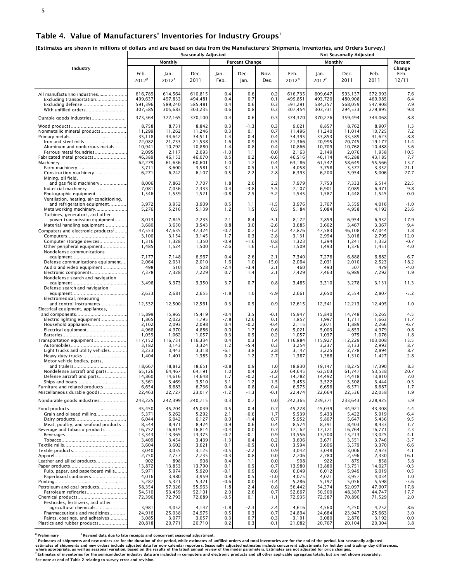#### Table 4. Value of Manufacturers' Inventories for Industry Groups<sup>1</sup>

[Estimates are shown in millions of dollars and are based on data from the Manufacturers' Shipments, Inventories, and Orders Survey.]

|                                                                                                       |                                          |                                          | <b>Seasonally Adjusted</b>               |                          |                          |                           |                                          | <b>Not Seasonally Adjusted</b>           |                                          |                                          |                          |
|-------------------------------------------------------------------------------------------------------|------------------------------------------|------------------------------------------|------------------------------------------|--------------------------|--------------------------|---------------------------|------------------------------------------|------------------------------------------|------------------------------------------|------------------------------------------|--------------------------|
|                                                                                                       |                                          | Monthly                                  |                                          |                          | <b>Percent Change</b>    |                           |                                          | Monthly                                  |                                          |                                          | Percent                  |
| Industry                                                                                              | Feb.<br>2012 <sup>p</sup>                | Jan.<br>2012 <sup>r</sup>                | Dec.<br>2011                             | Jan. -<br>Feb.           | Dec. -<br>Jan.           | Nov. -<br>Dec.            | Feb.<br>2012 <sup>p</sup>                | Jan.<br>2012 <sup>r</sup>                | Dec.<br>2011                             | Feb.<br>2011                             | Change<br>Feb.<br>12/11  |
| All manufacturing industries<br>Excluding transportation<br>Excluding defense<br>With unfilled orders | 616,789<br>499,637<br>591,396<br>307,585 | 614,564<br>497,833<br>589,240<br>305,683 | 610,815<br>494,481<br>585,481<br>303,235 | 0.4<br>0.4<br>0.4<br>0.6 | 0.6<br>0.7<br>0.6<br>0.8 | 0.2<br>-0.1<br>0.3<br>0.3 | 616,735<br>499,851<br>591,291<br>307,454 | 609,647<br>493,720<br>584,357<br>303,731 | 593,137<br>480,908<br>568,059<br>294,533 | 572,993<br>469,985<br>547,908<br>279,895 | 7.6<br>6.4<br>7.9<br>9.8 |
|                                                                                                       | 373,564                                  | 372,165                                  | 370,100                                  | 0.4                      | 0.6                      | 0.3                       | 374,370                                  | 370,276                                  | 359,494                                  | 344,068                                  | 8.8                      |
|                                                                                                       | 8,758                                    | 8,731                                    | 8,842                                    | 0.3                      | $-1.3$                   | 0.3                       | 9,021                                    | 8,857                                    | 8,762                                    | 8,907                                    | 1.3                      |
| Nonmetallic mineral products                                                                          | 11,299<br>35,118                         | 11,262<br>34,642                         | 11,246<br>34,511                         | 0.3<br>1.4               | 0.1<br>0.4               | 0.7<br>0.4                | 11,496<br>34,395                         | 11,240<br>33,853                         | 11,014<br>33,589                         | 10,725<br>31,623                         | 7.2<br>8.8               |
| Iron and steel mills                                                                                  | 22.082                                   | 21,733                                   | 21,538                                   | 1.6                      | 0.9                      | 0.5                       | 21,366                                   | 20.995                                   | 20,745                                   | 19,177                                   | 11.4                     |
| Aluminum and nonferrous metals<br>Ferrous metal foundries                                             | 10,941<br>2,095                          | 10,792<br>2,117                          | 10,880<br>2,093                          | 1.4<br>$-1.0$            | -0.8<br>1.1              | 0.4<br>0.0                | 10,866<br>2,163                          | 10,709<br>2,149                          | 10,768<br>2,076                          | 10,488<br>1,958                          | 3.6<br>10.5              |
| Fabricated metal products                                                                             | 46,389                                   | 46,153                                   | 46,070                                   | 0.5                      | 0.2                      | -0.6                      | 46,516                                   | 46,114                                   | 45,288                                   | 43,185                                   | 7.7                      |
|                                                                                                       | 62,279                                   | 61,636                                   | 60,601<br>3,581                          | 1.0<br>3.1               | 1.7<br>0.5               | 0.4<br>1.3                | 63,186<br>4,058                          | 61,542                                   | 58,649                                   | 55,566                                   | 13.7<br>21.1             |
| Construction machinery<br>Mining, oil field,                                                          | 3,711<br>6,271                           | 3,600<br>6,242                           | 6,107                                    | 0.5                      | 2.2                      | 2.8                       | 6,393                                    | 3,758<br>6,200                           | 3,577<br>5,954                           | 3,352<br>5,006                           | 27.7                     |
| and gas field machinery<br>Industrial machinery                                                       | 8,006<br>7,081                           | 7,863<br>7,056                           | 7,707<br>7,333                           | 1.8<br>0.4               | 2.0<br>-3.8              | 2.2<br>5.5                | 7,979<br>7,107                           | 7,753<br>6,901                           | 7,333<br>7,089                           | 6,514<br>6,471                           | 22.5<br>9.8              |
| Photographic equipment                                                                                | 1,546                                    | 1,559                                    | 1,521                                    | -0.8                     | 2.5                      | -5.2                      | 1,545                                    | 1,587                                    | 1,448                                    | 1,545                                    | 0.0                      |
| Ventilation, heating, air-conditioning,<br>and refrigeration equipment<br>Metalworking machinery      | 3,972<br>5,276                           | 3,952<br>5,216                           | 3,909<br>5,139                           | 0.5<br>1.2               | 1.1<br>1.5               | -1.5<br>0.5               | 3,976<br>5,184                           | 3,767<br>5,084                           | 3,559<br>4,958                           | 4,016<br>4,193                           | $-1.0$<br>23.6           |
| Turbines, generators, and other<br>power transmission equipment                                       | 8,013                                    | 7,845                                    | 7,235                                    | 2.1                      | 8.4                      | -3.1                      | 8,172                                    | 7,859                                    | 6,954                                    | 6,932                                    | 17.9                     |
| Material handling equipment                                                                           | 3,680                                    | 3,650                                    | 3,543                                    | 0.8                      | 3.0                      | -2.6                      | 3,685                                    | 3,662                                    | 3,467                                    | 3,367                                    | 9.4                      |
| Computers and electronic products <sup>2</sup>                                                        | 47,553<br>3,100                          | 47,635<br>3,154                          | 47,324<br>3,145                          | -0.2<br>$-1.7$           | 0.7<br>0.3               | $-1.2$<br>$-2.8$          | 47,876<br>3,131                          | 47,583<br>2,994                          | 46,108<br>3,018                          | 47,044<br>2,795                          | 1.8<br>12.0              |
| Computer storage devices                                                                              | 1,316                                    | 1,328                                    | 1,350                                    | $-0.9$                   | $-1.6$                   | 0.8                       | 1,323                                    | 1,294                                    | 1,241                                    | 1,332                                    | $-0.7$                   |
| Other peripheral equipment<br>Nondefense communications                                               | 1,485                                    | 1,524                                    | 1,500                                    | $-2.6$                   | 1.6                      | -1.3                      | 1,509                                    | 1,493                                    | 1,376                                    | 1,451                                    | 4.0                      |
|                                                                                                       | 7,177                                    | 7,148                                    | 6,967                                    | 0.4                      | 2.6                      | $-2.1$                    | 7,340                                    | 7,276                                    | 6,888                                    | 6,882                                    | 6.7                      |
| Defense communications equipment<br>Audio and video equipment                                         | 2,064<br>498                             | 2,031<br>510                             | 2,010<br>528                             | 1.6<br>$-2.4$            | 1.0<br>$-3.4$            | $-15.0$<br>2.1            | 2,064<br>460                             | 2,031<br>493                             | 2,010<br>507                             | 2,523<br>479                             | $-18.2$<br>$-4.0$        |
| Electronic components<br>Nondefense search and navigation                                             | 7,378                                    | 7,328                                    | 7,229                                    | 0.7                      | 1.4                      | 2.1                       | 7,429                                    | 7,463                                    | 6,989                                    | 7,292                                    | 1.9                      |
|                                                                                                       | 3,498                                    | 3,373                                    | 3,350                                    | 3.7                      | 0.7                      | 0.8                       | 3,485                                    | 3,310                                    | 3,278                                    | 3,131                                    | 11.3                     |
| Defense search and navigation                                                                         | 2,633                                    | 2,681                                    | 2,655                                    | $-1.8$                   | 1.0                      | $-5.9$                    | 2,661                                    | 2,650                                    | 2,554                                    | 2,807                                    | $-5.2$                   |
| Electromedical, measuring<br>and control instruments                                                  | 12,532                                   | 12,500                                   | 12,561                                   | 0.3                      | $-0.5$                   | -0.9                      | 12,615                                   | 12,541                                   | 12,213                                   | 12,495                                   | 1.0                      |
| Electrical equipment, appliances,                                                                     | 15,899                                   | 15,965                                   | 15,419                                   | $-0.4$                   | 3.5                      | -0.1                      | 15,947                                   | 15,840                                   | 14,748                                   | 15,265                                   | 4.5                      |
| Electric lighting equipment                                                                           | 1,865                                    | 2,022                                    | 1,795                                    | $-7.8$                   | 12.6                     | 0.1                       | 1,857                                    | 1,997                                    | 1,711                                    | 1,663                                    | 11.7                     |
| Household appliances<br>Electrical equipment                                                          | 2,102<br>4,968                           | 2,093<br>4,970                           | 2,098<br>4,886                           | 0.4<br>0.0               | $-0.2$<br>1.7            | $-0.4$<br>0.6             | 2,115<br>5,021                           | 2,071<br>5,003                           | 1,889<br>4,853                           | 2,266<br>4,979                           | $-6.7$<br>0.8            |
|                                                                                                       | 1,059                                    | 1,062                                    | 1,057                                    | -0.3                     | 0.5                      | -0.2                      | 1,057                                    | 1,037                                    | 975                                      | 1,076                                    | $-1.8$                   |
| Transportation equipment                                                                              | 117,152<br>3,182                         | 116,731<br>3,143                         | 116,334<br>3,324                         | 0.4<br>1.2               | 0.3<br>-5.4              | 1.4<br>0.3                | 116,884<br>3,254                         | 115,927<br>3,237                         | 112,229<br>3,133                         | 103,008<br>2,993                         | 13.5<br>8.7              |
| Light trucks and utility vehicles                                                                     | 3,233                                    | 3,443                                    | 3,318                                    | $-6.1$                   | 3.8                      | 2.8                       | 3,147                                    | 3,225                                    | 2,778                                    | 2,894                                    | 8.7                      |
| Motor vehicle bodies, parts,                                                                          | 1,404<br>18,667                          | 1,401<br>18,812                          | 1,385<br>18,651                          | 0.2<br>$-0.8$            | 1.2<br>0.9               | -2.7<br>1.0               | 1,387<br>18.830                          | 1,368<br>19,147                          | 1,310<br>18,275                          | 1,427<br>17.390                          | $-2.8$<br>8.3            |
| Nondefense aircraft and parts                                                                         | 65,126                                   | 64,467                                   | 64,191                                   | 1.0                      | 0.4                      | 2.0                       | 64,645                                   | 63,503                                   | 61,747                                   | 53,538                                   | 20.7                     |
| Defense aircraft and parts                                                                            | 14,860<br>3,361                          | 14,616<br>3,469                          | 14,648<br>3,510                          | 1.7<br>$-3.1$            | -0.2<br>$-1.2$           | $-1.2$<br>1.5             | 14,782<br>3,453                          | 14,492<br>3,522                          | 14,418<br>3,508                          | 13,810<br>3,444                          | 7.0<br>0.3               |
| Furniture and related products                                                                        | 6,654                                    | 6,683                                    | 6,736                                    | -0.4                     | $-0.8$                   | 0.4                       | 6,575                                    | 6,656                                    | 6,571                                    | 6,687                                    | $-1.7$                   |
| Miscellaneous durable goods                                                                           | 22,463                                   | 22,727                                   | 23,017                                   | $-1.2$                   | $-1.3$                   | -0.1                      | 22,474                                   | 22,664                                   | 22,536                                   | 22,058                                   | 1.9                      |
| Nondurable goods industries                                                                           | 243,225                                  | 242,399                                  | 240,715                                  | 0.3                      | 0.7                      | 0.0                       | 242,365                                  | 239,371                                  | 233,643                                  | 228,925                                  | 5.9                      |
| Grain and oilseed milling                                                                             | 45,450<br>5,371                          | 45,204<br>5,262                          | 45,039<br>5,292                          | 0.5<br>2.1               | 0.4<br>$-0.6$            | 0.7<br>1.7                | 45,228<br>5,539                          | 45,039<br>5,433                          | 44,921<br>5,422                          | 43,308<br>5,919                          | 4.4<br>$-6.4$            |
|                                                                                                       | 6,044                                    | 6,042                                    | 6,127                                    | 0.0                      | $-1.4$                   | 0.7                       | 5,952                                    | 5,807                                    | 5,647                                    | 5,436                                    | 9.5                      |
| Meat, poultry, and seafood products<br>Beverage and tobacco products                                  | 8,544<br>16,752                          | 8,471<br>16,819                          | 8,424<br>16,814                          | 0.9<br>-0.4              | 0.6<br>0.0               | 0.4<br>0.7                | 8,574<br>17,162                          | 8,391<br>17,171                          | 8,403<br>16,764                          | 8,433<br>16,771                          | 1.7<br>2.3               |
|                                                                                                       | 13,343                                   | 13,365                                   | 13,375                                   | -0.2                     | $-0.1$                   | 0.9                       | 13,556                                   | 13,500                                   | 13,213                                   | 13,025                                   | 4.1                      |
|                                                                                                       | 3,409                                    | 3,454                                    | 3,439                                    | $-1.3$                   | 0.4                      | 0.2<br>-0.1               | 3,606                                    | 3,671                                    | 3,551                                    | 3,746                                    | $-3.7$                   |
|                                                                                                       | 3,604<br>3,040                           | 3,602<br>3,055                           | 3,621<br>3,125                           | 0.1<br>$-0.5$            | $-0.5$<br>$-2.2$         | 0.9                       | 3,594<br>3,042                           | 3,606<br>3,048                           | 3,579<br>3,006                           | 3,370<br>2,923                           | 6.6<br>4.1               |
|                                                                                                       | 2,750                                    | 2,757                                    | 2,735                                    | $-0.3$                   | 0.8                      | 0.0                       | 2,706                                    | 2,780                                    | 2,596                                    | 2,330                                    | 16.1                     |
| Leather and allied products                                                                           | 902<br>13,872                            | 898<br>13,853                            | 908<br>13,790                            | 0.4<br>0.1               | $-1.1$<br>0.5            | 0.0<br>$-0.7$             | 908<br>13,980                            | 922<br>13,880                            | 879<br>13,751                            | 858<br>14,027                            | 5.8<br>$-0.3$            |
| Pulp, paper, and paperboard mills                                                                     | 5,971                                    | 5,974                                    | 5,920                                    | -0.1                     | 0.9                      | $-0.6$                    | 6,049                                    | 6,012                                    | 5,949                                    | 6,019                                    | 0.5                      |
| Paperboard containers                                                                                 | 4,016<br>5,287                           | 3,980<br>5,321                           | 3,959<br>5,321                           | 0.9<br>-0.6              | 0.5<br>0.0               | $-1.0$<br>$-1.4$          | 4,075<br>5,286                           | 4,021<br>5,197                           | 3,957<br>5,056                           | 4,034<br>5,598                           | 1.0<br>$-5.6$            |
| Petroleum and coal products                                                                           | 58,354                                   | 57,326                                   | 55,963                                   | 1.8                      | 2.4                      | 0.8                       | 56,442                                   | 54,374                                   | 52,097                                   | 47,907                                   | 17.8                     |
| Petroleum refineries                                                                                  | 54,510<br>72,396                         | 53,459<br>72,793                         | 52,101<br>72,689                         | 2.0<br>$-0.5$            | 2.6<br>0.1               | 0.7<br>-1.1               | 52,667<br>72,935                         | 50,500<br>72,587                         | 48,387<br>70,890                         | 44,747<br>71,529                         | 17.7<br>2.0              |
| Pesticides, fertilizers, and other                                                                    | 3,981                                    |                                          |                                          |                          |                          |                           |                                          |                                          |                                          |                                          | 8.6                      |
| agricultural chemicals<br>Pharmaceuticals and medicines                                               | 24,916                                   | 4,052<br>25,038                          | 4,147<br>24,975                          | $-1.8$<br>-0.5           | $-2.3$<br>0.3            | 2.4<br>$-0.7$             | 4,616<br>24,894                          | 4,560<br>24,684                          | 4,250<br>23,947                          | 4,252<br>25,663                          | $-3.0$                   |
| Paints, coatings, and adhesives                                                                       | 3,085                                    | 3,077                                    | 3,057                                    | 0.3                      | 0.7                      | $-0.3$<br>$-0.1$          | 3,191                                    | 3,080                                    | 2,876                                    | 3,192                                    | 0.0                      |
| Plastics and rubber products                                                                          | 20,818                                   | 20,771                                   | 20,710                                   | 0.2                      | 0.3                      |                           | 21,082                                   | 20,767                                   | 20,104                                   | 20,304                                   | 3.8                      |

 $P$  Preliminary  $P$  Revised data due to late receipts and concurrent seasonal adjustment.

<sup>1</sup> Estimates of shipments and new orders are for the duration of the period, while estimates of unfilled orders and total inventories are for the end of the period. Not seasonally adjusted<br>estimates of shipments and new o See note at end of Table 2 relating to survey error and revision.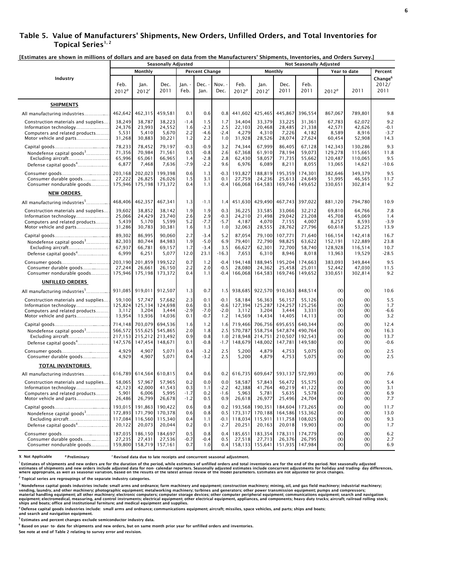#### Table 5. Value of Manufacturers' Shipments, New Orders, Unfilled Orders, and Total Inventories for Topical Series<sup>1, 2</sup>

[Estimates are shown in millions of dollars and are based on data from the Manufacturers' Shipments, Inventories, and Orders Survey.]

|                                                                                                                            | <b>Seasonally Adjusted</b>              |                                                  |                                          |                                |                                      | LISUMALES ALE SHOWN IN MINIONS OF QUIRTS AND ALE DASED ON DATA HOM THE MANDIALIBILETS SHIPMENTS, MYENTOHES, AND OTDETS SUPPEY.]<br><b>Not Seasonally Adjusted</b> |                                                    |                                          |                                          |                                          |                                         |                                         |                                      |
|----------------------------------------------------------------------------------------------------------------------------|-----------------------------------------|--------------------------------------------------|------------------------------------------|--------------------------------|--------------------------------------|-------------------------------------------------------------------------------------------------------------------------------------------------------------------|----------------------------------------------------|------------------------------------------|------------------------------------------|------------------------------------------|-----------------------------------------|-----------------------------------------|--------------------------------------|
|                                                                                                                            |                                         | Monthly                                          |                                          |                                | <b>Percent Change</b>                |                                                                                                                                                                   |                                                    | Monthly                                  |                                          |                                          |                                         | Year to date                            | Percent                              |
| Industry                                                                                                                   | Feb.<br>2012 <sup>p</sup>               | Jan.<br>2012 <sup>r</sup>                        | Dec.<br>2011                             | Jan. -<br>Feb.                 | Dec. -<br>Jan.                       | Nov. -<br>Dec.                                                                                                                                                    | Feb.<br>2012 <sup>p</sup>                          | Jan.<br>2012 <sup>r</sup>                | Dec.<br>2011                             | Feb.<br>2011                             | 2012 <sup>P</sup>                       | 2011                                    | Change <sup>6</sup><br>2012/<br>2011 |
| <b>SHIPMENTS</b>                                                                                                           |                                         |                                                  |                                          |                                |                                      |                                                                                                                                                                   |                                                    |                                          |                                          |                                          |                                         |                                         |                                      |
| All manufacturing industries                                                                                               | 462,642                                 | 462,315                                          | 459,581                                  | 0.1                            | 0.6                                  | 0.8                                                                                                                                                               | 441,602                                            | 425,465                                  | 445,867                                  | 396,554                                  | 867,067                                 | 789,801                                 | 9.8                                  |
| Construction materials and supplies<br>Information technology<br>Computers and related products<br>Motor vehicle and parts | 38,249<br>24,376<br>5,531<br>31,268     | 38,787<br>23,993<br>5,410<br>30,883              | 38,223<br>24,552<br>5,670<br>30,221      | $-1.4$<br>1.6<br>2.2<br>1.2    | 1.5<br>$-2.3$<br>$-4.6$<br>2.2       | 1.7<br>2.5<br>$-2.4$<br>1.0                                                                                                                                       | 34,404<br>22,103<br>4,279<br>31,928                | 33,379<br>20,468<br>4,310<br>28,526      | 33,225<br>28,485<br>7,226<br>28,074      | 31,361<br>21,338<br>4,182<br>27,624      | 67,783<br>42,571<br>8,589<br>60,454     | 62,072<br>42,626<br>8,916<br>52,908     | 9.2<br>$-0.1$<br>$-3.7$<br>14.3      |
| Nondefense capital goods <sup>3</sup><br>Excluding aircraft<br>Defense capital goods <sup>4</sup>                          | 78,233<br>71,356<br>65,996<br>6,877     | 78,452<br>70,984<br>65,061<br>7,468              | 79,197<br>71,561<br>66,965<br>7,636      | $-0.3$<br>0.5<br>1.4<br>$-7.9$ | $-0.9$<br>$-0.8$<br>$-2.8$<br>$-2.2$ | 3.2<br>2.6<br>2.8<br>9.6                                                                                                                                          | 74,344<br>67,368<br>62,430<br>6,976                | 67,999<br>61,910<br>58,057<br>6,089      | 86,405<br>78,194<br>71,735<br>8,211      | 67,128<br>59,073<br>55,662<br>8,055      | 142,343<br>129,278<br>120,487<br>13,065 | 130,286<br>115,665<br>110,065<br>14,621 | 9.3<br>11.8<br>9.5<br>$-10.6$        |
| Consumer goods<br>Consumer durable goods<br>Consumer nondurable goods                                                      | 203,168<br>27,222<br>175,946            | 202,023<br>26,825<br>175,198                     | 199,398<br>26,026<br>173,372             | 0.6<br>1.5<br>0.4              | 1.3<br>3.1<br>1.1                    | $-0.3$<br>0.1<br>$-0.4$                                                                                                                                           | 193,827<br>27,759<br>166,068                       | 188,819<br>24,236<br>164,583             | 195,359<br>25,613<br>169,746             | 174,301<br>24,649<br>149,652             | 382,646<br>51,995<br>330,651            | 349,379<br>46,565<br>302,814            | 9.5<br>11.7<br>9.2                   |
| <b>NEW ORDERS</b>                                                                                                          |                                         |                                                  |                                          |                                |                                      |                                                                                                                                                                   |                                                    |                                          |                                          |                                          |                                         |                                         |                                      |
| All manufacturing industries <sup>5</sup>                                                                                  | 468,406                                 | 462,357                                          | 467,341                                  | 1.3                            | $-1.1$                               | 1.4                                                                                                                                                               | 451,630                                            | 429,490                                  | 467,743                                  | 397,022                                  | 881,120                                 | 794,780                                 | 10.9                                 |
| Construction materials and supplies<br>Information technology<br>Computers and related products<br>Motor vehicle and parts | 39,602<br>25,066<br>5,439<br>31,286     | 38,852<br>24,429<br>5,170<br>30,783              | 38,142<br>23,740<br>5,599<br>30,381      | 1.9<br>2.6<br>5.2<br>1.6       | 1.9<br>2.9<br>$-7.7$<br>1.3          | 0.3<br>$-0.3$<br>$-5.7$<br>1.0                                                                                                                                    | 36,225<br>24,210<br>4,187<br>32,063                | 33,585<br>21,498<br>4,070<br>28,555      | 33,066<br>29,042<br>7,155<br>28,762      | 32,212<br>23,208<br>4,007<br>27,796      | 69,810<br>45,708<br>8,257<br>60,618     | 64,766<br>45,069<br>8,593<br>53,225     | 7.8<br>1.4<br>$-3.9$<br>13.9         |
| Nondefense capital goods <sup>3</sup><br>Defense capital goods <sup>4</sup>                                                | 89,302<br>82,303<br>67,937<br>6,999     | 86,995<br>80,744<br>66,781<br>6,251              | 90,060<br>84,983<br>69,157<br>5,077      | 2.7<br>1.9<br>1.7<br>12.0      | $-3.4$<br>$-5.0$<br>$-3.4$<br>23.1   | 5.2<br>6.9<br>3.5<br>$-16.3$                                                                                                                                      | 87,054<br>79,401<br>66,627<br>7,653                | 79,100<br>72,790<br>62,301<br>6,310      | 107,771<br>98,825<br>72,700<br>8,946     | 71,640<br>63,622<br>58,740<br>8,018      | 166,154<br>152,191<br>128,928<br>13,963 | 142,418<br>122,889<br>116,514<br>19,529 | 16.7<br>23.8<br>10.7<br>$-28.5$      |
| Consumer goods<br>Consumer durable goods<br>Consumer nondurable goods                                                      | 203,190<br>27,244<br>175,946            | 201,859<br>26,661<br>175,198                     | 199.522<br>26,150<br>173,372             | 0.7<br>2.2<br>0.4              | 1.2<br>2.0<br>1.1                    | $-0.4$<br>$-0.5$                                                                                                                                                  | 194,148<br>28,080<br>$-0.4$ 166,068                | 188,945<br>24,362<br>164,583             | 195,204<br>25.458<br>169,746             | 174,663<br>25,011<br>149,652             | 383,093<br>52,442<br>330,651            | 349,844<br>47,030<br>302,814            | 9.5<br>11.5<br>9.2                   |
| <b>UNFILLED ORDERS</b>                                                                                                     |                                         |                                                  |                                          |                                |                                      |                                                                                                                                                                   |                                                    |                                          |                                          |                                          |                                         |                                         |                                      |
| All manufacturing industries <sup>5</sup>                                                                                  | 931,085                                 |                                                  | 919,011 912,507                          | 1.3                            | 0.7                                  | 1.5                                                                                                                                                               |                                                    |                                          | 938,685 922,570 910,363                  | 848,514                                  | (X)                                     | (X)                                     | 10.6                                 |
| Construction materials and supplies<br>Information technology<br>Computers and related products<br>Motor vehicle and parts | 59,100<br>125,824<br>3,112<br>13,954    | 57,747<br>125,134<br>3,204<br>13,936             | 57,682<br>124,698<br>3,444<br>14,036     | 2.3<br>0.6<br>$-2.9$<br>0.1    | 0.1<br>0.3<br>$-7.0$<br>$-0.7$       | $-0.1$<br>$-0.6$<br>$-2.0$<br>1.2                                                                                                                                 | 58,184<br>127,394<br>3,112<br>14,569               | 56,363<br>125,287<br>3,204<br>14,434     | 56,157<br>124,257<br>3,444<br>14,405     | 55,126<br>125,256<br>3,331<br>14,113     | (X)<br>(X)<br>(X)<br>(X)                | (X)<br>(X)<br>(X)<br>(X)                | 5.5<br>1.7<br>$-6.6$<br>3.2          |
| Nondefense capital goods <sup>3</sup><br>Excluding aircraft<br>Defense capital goods <sup>4</sup>                          | 714,148<br>566,572<br>217,153           | 703,079<br>555,625<br>215,212<br>147,576 147,454 | 694,536<br>545,865<br>213,492<br>148,671 | 1.6<br>2.0<br>0.9<br>0.1       | 1.2<br>1.8<br>0.8<br>$-0.8$          | 1.6<br>$-1.7$                                                                                                                                                     | 719,466<br>2.5 570,787<br>1.0 218,948<br>148,679   | 706,756<br>558,754<br>214,751<br>148,002 | 695,655<br>547,874<br>210,507<br>147,781 | 640,344<br>490,764<br>192,543<br>149,580 | (X)<br>(X)<br>(X)<br>(X)                | (X)<br>(X)<br>(X)<br>(X)                | 12.4<br>16.3<br>13.7<br>$-0.6$       |
| Consumer goods                                                                                                             | 4,929                                   | 4,907                                            | 5,071                                    | 0.4                            | $-3.2$                               | 2.5                                                                                                                                                               | 5,200                                              | 4,879                                    | 4,753                                    | 5,075                                    | (X)                                     | (X)                                     | 2.5                                  |
| Consumer durable goods                                                                                                     | 4,929                                   | 4,907                                            | 5,071                                    | 0.4                            | $-3.2$                               | 2.5                                                                                                                                                               | 5,200                                              | 4,879                                    | 4,753                                    | 5,075                                    | (X)                                     | (X)                                     | 2.5                                  |
| <b>TOTAL INVENTORIES</b>                                                                                                   |                                         |                                                  |                                          |                                |                                      |                                                                                                                                                                   |                                                    |                                          |                                          |                                          |                                         |                                         |                                      |
| All manufacturing industries                                                                                               |                                         | 616,789 614,564 610,815                          |                                          | 0.4                            | 0.6                                  | 0.21                                                                                                                                                              | 616,735                                            |                                          | 609,647 593,137                          | 572,993                                  | (X)                                     | (X)                                     | 7.6                                  |
| Construction materials and supplies<br>Information technology<br>Computers and related products<br>Motor vehicle and parts | 58,065<br>42,123<br>5,901<br>26,486     | 57,967<br>42,000<br>6,006<br>26,799              | 57,965<br>41,543<br>5,995<br>26,678      | 0.2<br>0.3<br>$-1.7$<br>$-1.2$ | 0.0<br>1.1<br>0.2<br>0.5             | 0.0<br>$-2.2$<br>$-1.6$<br>0.9                                                                                                                                    | 58,587<br>42,388<br>5,963<br>26,618                | 57,843<br>41,764<br>5,781<br>26,977      | 56,472<br>40,219<br>5,635<br>25,496      | 55,575<br>41,122<br>5,578<br>24,704      | (X)<br>(X)<br>(X)<br>(X)                | (X)<br>(X)<br>(X)<br>(X)                | 5.4<br>3.1<br>6.9<br>7.7             |
| Nondefense capital goods <sup>3</sup><br>Excluding aircraft<br>Defense capital goods <sup>4</sup>                          | 193,015<br>172,893<br>117,084<br>20,122 | 191,863<br>171,790<br>116,560<br>20,073          | 190,422<br>170.378<br>115,340<br>20,044  | 0.6<br>0.6<br>0.4<br>0.2       | 0.8<br>0.8<br>1.1<br>0.1             | 0.5<br>$-2.7$                                                                                                                                                     | 0.2 193,568<br>173,317<br>$-0.1$ 118,034<br>20,251 | 190,351<br>170,188<br>115,911<br>20,163  | 184,604<br>164,586<br>111,758<br>20,018  | 173,265<br>153,362<br>108,025<br>19,903  | (X)<br>(X)<br>(X)<br>(X)                | (X)<br>(X)<br>(X)<br>(X)                | 11.7<br>13.0<br>9.3<br>1.7           |
| Consumer goods<br>Consumer durable goods<br>Consumer nondurable goods                                                      | 187,035<br>27,235                       | 27,431<br>159,800 158,719                        | 186,150 184,697<br>27,536<br>157,161     | 0.5<br>$-0.7$<br>0.7           | 0.8<br>$-0.4$<br>1.0                 | 0.5                                                                                                                                                               | 0.4 185,651<br>27,518<br>0.4 158,133               | 183,354<br>27,713<br>155,641             | 178,311<br>26,376<br>151,935             | 174,779<br>26,795<br>147,984             | (X)<br>(X)<br>(X)                       | (X)<br>(X)<br>(X)                       | $6.2$<br>2.7<br>6.9                  |

X Not Applicable <sup>p</sup> Preliminary <sup>r</sup> Revised data due to late receipts and concurrent seasonal adjustment.

<sup>1</sup> Estimates of shipments and new orders are for the duration of the period, while estimates of unfilled orders and total inventories are for the end of the period. Not seasonally adjusted<br>estimates of shipments and new o

 $^{\rm 2}$  Topical series are regroupings of the separate industry categories.

<sup>3</sup> Nondefense capital goods industries include: small arms and ordnance; farm machinery and equipment; construction machinery; mining, oil, and gas field machinery; industrial machinery;<br>vending, laundry, and other machin

4 Defense capital goods industries include: small arms and ordnance; communications equipment; aircraft; missiles, space vehicles, and parts; ships and boats;

and search and navigation equipment.

<sup>5</sup> Estimates and percent changes exclude semiconductor industry data.

 $^6$  Based on year- to- date for shipments and new orders, but on same month prior year for unfilled orders and inventories.

See note at end of Table 2 relating to survey error and revision.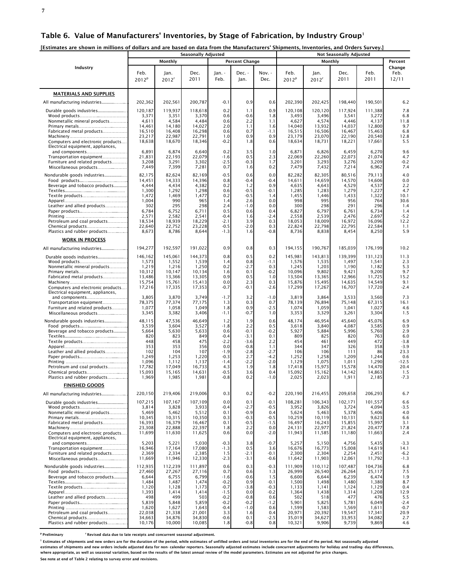#### Table 6. Value of Manufacturers' Inventories, by Stage of Fabrication, by Industry Group<sup>1</sup>

[Estimates are shown in millions of dollars and are based on data from the Manufacturers' Shipments, Inventories, and Orders Survey.]

|                                                          |                           |                           | <b>Seasonally Adjusted</b> |                  |                       |                  |                           | <b>Not Seasonally Adjusted</b><br>Monthly<br>Dec.<br>Jan.<br>Feb.<br>2011<br>2011<br>2012 <sup>r</sup><br>202,425<br>198,440<br>120,120<br>117,924<br>3,496<br>3,541<br>4,574<br>4,446<br>4,137<br>13,932<br>14,037<br>16,506<br>16,467<br>23,070<br>22,190<br>20,540<br>18,731<br>18,221<br>17,661<br>6,826<br>6,459<br>6,270<br>22,260<br>22,073<br>3,293<br>3,276<br>7,432<br>7,214<br>6,962<br>82,305<br>80,516<br>79,113<br>14,659<br>14,570<br>4,643<br>4,529<br>4,537<br>1,283<br>1,279<br>1,227<br>1,446<br>1,433<br>995<br>956<br>764<br>291<br>298<br>296<br>6,797<br>6,761<br>2,539<br>2,476<br>2,697<br>18,009<br>16,972<br>22,798<br>22,795<br>8,838<br>8,454<br>8,250<br>190,767<br>185,039<br>176,199<br>143,813<br>139.399<br>131,123<br>1,535<br>1,497<br>1,203<br>1.190<br>1,182<br>9,802<br>9,421<br>9,200<br>13,365<br>12,966<br>15,495<br>14,635<br>17,267<br>16,707<br>17,720<br>3,533<br>3,864<br>3,560<br>76,894<br>75,148<br>67,315<br>1,059<br>1,041<br>3,329<br>3,304<br>3,261<br>46,954<br>45,640<br>45,076<br>3,840<br>4,087<br>3,585<br>5,884<br>5,996 |                   |                   |                         |
|----------------------------------------------------------|---------------------------|---------------------------|----------------------------|------------------|-----------------------|------------------|---------------------------|--------------------------------------------------------------------------------------------------------------------------------------------------------------------------------------------------------------------------------------------------------------------------------------------------------------------------------------------------------------------------------------------------------------------------------------------------------------------------------------------------------------------------------------------------------------------------------------------------------------------------------------------------------------------------------------------------------------------------------------------------------------------------------------------------------------------------------------------------------------------------------------------------------------------------------------------------------------------------------------------------------------------------------------------------------------------------------------|-------------------|-------------------|-------------------------|
|                                                          |                           | Monthly                   |                            |                  | <b>Percent Change</b> |                  |                           |                                                                                                                                                                                                                                                                                                                                                                                                                                                                                                                                                                                                                                                                                                                                                                                                                                                                                                                                                                                                                                                                                      |                   |                   | Percent                 |
| Industry                                                 | Feb.<br>2012 <sup>p</sup> | Jan.<br>2012 <sup>r</sup> | Dec.<br>2011               | Jan. -<br>Feb.   | Dec. -<br>Jan.        | Nov. -<br>Dec.   | Feb.<br>2012 <sup>p</sup> |                                                                                                                                                                                                                                                                                                                                                                                                                                                                                                                                                                                                                                                                                                                                                                                                                                                                                                                                                                                                                                                                                      |                   |                   | Change<br>Feb.<br>12/11 |
| <b>MATERIALS AND SUPPLIES</b>                            |                           |                           |                            |                  |                       |                  |                           |                                                                                                                                                                                                                                                                                                                                                                                                                                                                                                                                                                                                                                                                                                                                                                                                                                                                                                                                                                                                                                                                                      |                   |                   |                         |
| All manufacturing industries                             | 202.362                   | 202,561                   | 200,787                    | $-0.1$           | 0.9                   | 0.6              | 202,390                   |                                                                                                                                                                                                                                                                                                                                                                                                                                                                                                                                                                                                                                                                                                                                                                                                                                                                                                                                                                                                                                                                                      |                   | 190,501           | 6.2                     |
|                                                          | 120,187                   | 119,937                   | 118,618                    | 0.2              | 1.1                   | 0.9              | 120,108                   |                                                                                                                                                                                                                                                                                                                                                                                                                                                                                                                                                                                                                                                                                                                                                                                                                                                                                                                                                                                                                                                                                      |                   | 111,388           | 7.8                     |
| Nonmetallic mineral products                             | 3,371<br>4,611            | 3,351<br>4,584            | 3,370<br>4,484             | 0.6<br>0.6       | $-0.6$<br>2.2         | 1.8<br>1.1       | 3,493<br>4,627            |                                                                                                                                                                                                                                                                                                                                                                                                                                                                                                                                                                                                                                                                                                                                                                                                                                                                                                                                                                                                                                                                                      |                   | 3,272             | 6.8<br>11.8             |
|                                                          | 14,461                    | 14,180                    | 14,027                     | 2.0              | 1.1                   | 1.6              | 14,040                    |                                                                                                                                                                                                                                                                                                                                                                                                                                                                                                                                                                                                                                                                                                                                                                                                                                                                                                                                                                                                                                                                                      |                   | 12,800            | 9.7                     |
| Fabricated metal products                                | 16,510<br>23,217          | 16,408<br>22,987          | 16,298<br>22,791           | 0.6<br>1.0       | 0.7<br>0.9            | -1.1<br>0.9      | 16,515<br>23.179          |                                                                                                                                                                                                                                                                                                                                                                                                                                                                                                                                                                                                                                                                                                                                                                                                                                                                                                                                                                                                                                                                                      |                   | 15,463            | 6.8<br>12.8             |
| Computers and electronic products                        | 18,638                    | 18,670                    | 18,346                     | $-0.2$           | 1.8                   | 0.6              | 18,634                    |                                                                                                                                                                                                                                                                                                                                                                                                                                                                                                                                                                                                                                                                                                                                                                                                                                                                                                                                                                                                                                                                                      |                   |                   | 5.5                     |
| Electrical equipment, appliances,                        | 6,891                     | 6,874                     | 6,640                      | 0.2              | 3.5                   | 1.0              | 6,871                     |                                                                                                                                                                                                                                                                                                                                                                                                                                                                                                                                                                                                                                                                                                                                                                                                                                                                                                                                                                                                                                                                                      |                   |                   | 9.6                     |
| Transportation equipment                                 | 21,831                    | 22,193                    | 22,079                     | $-1.6$           | 0.5                   | 2.3              | 22,069                    |                                                                                                                                                                                                                                                                                                                                                                                                                                                                                                                                                                                                                                                                                                                                                                                                                                                                                                                                                                                                                                                                                      |                   | 21,074            | 4.7                     |
| Furniture and related products<br>Miscellaneous products | 3,208<br>7,449            | 3,291<br>7,399            | 3,302<br>7,281             | $-2.5$<br>0.7    | $-0.3$<br>1.6         | 1.7<br>0.2       | 3,201<br>7,479            |                                                                                                                                                                                                                                                                                                                                                                                                                                                                                                                                                                                                                                                                                                                                                                                                                                                                                                                                                                                                                                                                                      |                   | 3,209             | $-0.2$<br>7.4           |
| Nondurable goods industries                              | 82,175                    | 82,624                    | 82,169                     | $-0.5$           | 0.6                   | 0.0              | 82,282                    |                                                                                                                                                                                                                                                                                                                                                                                                                                                                                                                                                                                                                                                                                                                                                                                                                                                                                                                                                                                                                                                                                      |                   |                   | 4.0                     |
|                                                          | 14,451                    | 14,333                    | 14,396                     | 0.8              | $-0.4$                | $-0.4$           | 14,611                    |                                                                                                                                                                                                                                                                                                                                                                                                                                                                                                                                                                                                                                                                                                                                                                                                                                                                                                                                                                                                                                                                                      |                   | 14,606            | 0.0                     |
| Beverage and tobacco products                            | 4,444<br>1,300            | 4,434<br>1,292            | 4,382<br>1,298             | 0.2<br>0.6       | 1.2<br>$-0.5$         | 0.9<br>-0.1      | 4,635<br>1,285            |                                                                                                                                                                                                                                                                                                                                                                                                                                                                                                                                                                                                                                                                                                                                                                                                                                                                                                                                                                                                                                                                                      |                   |                   | 2.2<br>4.7              |
|                                                          | 1,472                     | 1,469                     | 1,477                      | 0.2              | $-0.5$                | 1.4              | 1,455                     |                                                                                                                                                                                                                                                                                                                                                                                                                                                                                                                                                                                                                                                                                                                                                                                                                                                                                                                                                                                                                                                                                      |                   | 1,322             | 10.1                    |
| Leather and allied products                              | 1,004<br>302              | 990<br>295                | 965<br>298                 | 1.4<br>2.4       | 2.6<br>$-1.0$         | 0.0<br>0.0       | 998<br>300                |                                                                                                                                                                                                                                                                                                                                                                                                                                                                                                                                                                                                                                                                                                                                                                                                                                                                                                                                                                                                                                                                                      |                   |                   | 30.6<br>1.4             |
|                                                          | 6,784                     | 6,752                     | 6,711                      | 0.5              | 0.6                   | 0.4              | 6,827                     |                                                                                                                                                                                                                                                                                                                                                                                                                                                                                                                                                                                                                                                                                                                                                                                                                                                                                                                                                                                                                                                                                      |                   | 6,734             | 1.4                     |
| Petroleum and coal products                              | 2,571<br>18,534           | 2,582<br>18,939           | 2,541<br>18,229            | $-0.4$<br>$-2.1$ | 1.6<br>3.9            | $-2.4$<br>0.3    | 2,558<br>18,053           |                                                                                                                                                                                                                                                                                                                                                                                                                                                                                                                                                                                                                                                                                                                                                                                                                                                                                                                                                                                                                                                                                      |                   | 16,096            | $-5.2$<br>12.2          |
| Chemical products                                        | 22,640                    | 22,752                    | 23,228                     | $-0.5$           | $-2.0$                | 0.3              | 22,824                    |                                                                                                                                                                                                                                                                                                                                                                                                                                                                                                                                                                                                                                                                                                                                                                                                                                                                                                                                                                                                                                                                                      |                   | 22,584            | 1.1<br>5.9              |
| Plastics and rubber products                             | 8,673                     | 8,786                     | 8,644                      | $-1.3$           | 1.6                   | $-0.8$           | 8,736                     |                                                                                                                                                                                                                                                                                                                                                                                                                                                                                                                                                                                                                                                                                                                                                                                                                                                                                                                                                                                                                                                                                      |                   |                   |                         |
| <b>WORK IN PROCESS</b>                                   | 194,277                   |                           |                            |                  |                       |                  |                           |                                                                                                                                                                                                                                                                                                                                                                                                                                                                                                                                                                                                                                                                                                                                                                                                                                                                                                                                                                                                                                                                                      |                   |                   |                         |
| All manufacturing industries                             |                           | 192,597                   | 191,022                    | 0.9              | 0.8                   | 0.3              | 194,155                   |                                                                                                                                                                                                                                                                                                                                                                                                                                                                                                                                                                                                                                                                                                                                                                                                                                                                                                                                                                                                                                                                                      |                   |                   | 10.2                    |
| Durable goods industries<br>Wood products                | 146,162<br>1,573          | 145,061<br>1,552          | 144,373<br>1,539           | 0.8<br>1.4       | 0.5<br>0.8            | 0.2<br>-1.1      | 145,981<br>1,576          |                                                                                                                                                                                                                                                                                                                                                                                                                                                                                                                                                                                                                                                                                                                                                                                                                                                                                                                                                                                                                                                                                      |                   | 1,541             | 11.3<br>2.3             |
| Nonmetallic mineral products                             | 1,219<br>10,312           | 1,216<br>10,147           | 1,250<br>10,134            | 0.2<br>1.6       | $-2.7$<br>0.1         | 0.3<br>$-0.2$    | 1,245<br>10,096           |                                                                                                                                                                                                                                                                                                                                                                                                                                                                                                                                                                                                                                                                                                                                                                                                                                                                                                                                                                                                                                                                                      |                   |                   | 5.3<br>9.7              |
| Fabricated metal products                                | 13,486                    | 13,366                    | 13,305                     | 0.9              | 0.5                   | 1.0              | 13,504                    |                                                                                                                                                                                                                                                                                                                                                                                                                                                                                                                                                                                                                                                                                                                                                                                                                                                                                                                                                                                                                                                                                      |                   | 11,725            | 15.2                    |
| Computers and electronic products                        | 15,754<br>17,216          | 15,761<br>17,335          | 15,413<br>17,353           | 0.0<br>$-0.7$    | 2.3<br>$-0.1$         | 0.3<br>$-2.6$    | 15,876<br>17,299          |                                                                                                                                                                                                                                                                                                                                                                                                                                                                                                                                                                                                                                                                                                                                                                                                                                                                                                                                                                                                                                                                                      |                   | 14,549            | 9.1<br>$-2.4$           |
| Electrical equipment, appliances,                        |                           |                           |                            |                  |                       |                  |                           |                                                                                                                                                                                                                                                                                                                                                                                                                                                                                                                                                                                                                                                                                                                                                                                                                                                                                                                                                                                                                                                                                      |                   |                   |                         |
| and components<br>Transportation equipment               | 3,805<br>78,375           | 3,870<br>77,374           | 3,749<br>77,175            | $-1.7$<br>1.3    | 3.2<br>0.3            | $-1.0$<br>0.7    | 3,819<br>78,139           |                                                                                                                                                                                                                                                                                                                                                                                                                                                                                                                                                                                                                                                                                                                                                                                                                                                                                                                                                                                                                                                                                      |                   |                   | 7.3<br>16.1             |
| Furniture and related products                           | 1,077                     | 1,058                     | 1,049                      | 1.8              | 0.9                   | $-2.5$           | 1,074                     |                                                                                                                                                                                                                                                                                                                                                                                                                                                                                                                                                                                                                                                                                                                                                                                                                                                                                                                                                                                                                                                                                      |                   | 1,027             | 4.6                     |
| Miscellaneous products                                   | 3,345                     | 3,382                     | 3,406                      | -1.1             | $-0.7$                | 1.0              | 3,353                     |                                                                                                                                                                                                                                                                                                                                                                                                                                                                                                                                                                                                                                                                                                                                                                                                                                                                                                                                                                                                                                                                                      |                   |                   | 1.5                     |
| Nondurable goods industries                              | 48,115<br>3,539           | 47,536<br>3,604           | 46,649<br>3,527            | 1.2<br>$-1.8$    | 1.9<br>2.2            | 0.6<br>0.5       | 48,174<br>3,618           |                                                                                                                                                                                                                                                                                                                                                                                                                                                                                                                                                                                                                                                                                                                                                                                                                                                                                                                                                                                                                                                                                      |                   |                   | 6.9<br>0.9              |
| Beverage and tobacco products                            | 5,664                     | 5,630                     | 5,633                      | 0.6              | $-0.1$                | $-0.2$           | 5,927                     |                                                                                                                                                                                                                                                                                                                                                                                                                                                                                                                                                                                                                                                                                                                                                                                                                                                                                                                                                                                                                                                                                      |                   | 5,760             | 2.9                     |
|                                                          | 820<br>448                | 823<br>458                | 849<br>475                 | $-0.4$<br>$-2.2$ | $-3.1$<br>$-3.6$      | 0.1<br>2.2       | 809<br>454                | 825<br>461                                                                                                                                                                                                                                                                                                                                                                                                                                                                                                                                                                                                                                                                                                                                                                                                                                                                                                                                                                                                                                                                           | 820<br>449        | 763<br>472        | 6.0<br>$-3.8$           |
| Leather and allied products                              | 353<br>102                | 353<br>104                | 356<br>107                 | 0.0<br>$-1.9$    | $-0.8$<br>$-2.8$      | 1.1<br>$-2.7$    | 344<br>106                | 347<br>106                                                                                                                                                                                                                                                                                                                                                                                                                                                                                                                                                                                                                                                                                                                                                                                                                                                                                                                                                                                                                                                                           | 326<br>111        | 358<br>86         | $-3.9$<br>23.3          |
|                                                          | 1,249                     | 1,253                     | 1,220                      | $-0.3$           | 2.7                   | $-4.2$           | 1,252                     | 1,258                                                                                                                                                                                                                                                                                                                                                                                                                                                                                                                                                                                                                                                                                                                                                                                                                                                                                                                                                                                                                                                                                | 1,209             | 1,244             | 0.6                     |
| Petroleum and coal products                              | 1,096<br>17,782           | 1,112<br>17,049           | 1,137<br>16,733            | $-1.4$<br>4.3    | $-2.2$<br>1.9         | $-2.0$<br>1.8    | 1,129<br>17,418           | 1,075<br>15,973                                                                                                                                                                                                                                                                                                                                                                                                                                                                                                                                                                                                                                                                                                                                                                                                                                                                                                                                                                                                                                                                      | 1,011<br>15,578   | 1,290<br>14.470   | $-12.5$<br>20.4         |
|                                                          | 15,093                    | 15,165                    | 14,631                     | $-0.5$           | 3.6                   | 0.4              | 15,092                    | 15,162                                                                                                                                                                                                                                                                                                                                                                                                                                                                                                                                                                                                                                                                                                                                                                                                                                                                                                                                                                                                                                                                               | 14,142            | 14,863            | 1.5                     |
| Plastics and rubber products                             | 1,969                     | 1,985                     | 1,981                      | $-0.8$           | 0.2                   | $-1.0$           | 2,025                     | 2,023                                                                                                                                                                                                                                                                                                                                                                                                                                                                                                                                                                                                                                                                                                                                                                                                                                                                                                                                                                                                                                                                                | 1,911             | 2,185             | $-7.3$                  |
| <b>FINISHED GOODS</b>                                    |                           |                           |                            |                  |                       |                  |                           |                                                                                                                                                                                                                                                                                                                                                                                                                                                                                                                                                                                                                                                                                                                                                                                                                                                                                                                                                                                                                                                                                      |                   |                   |                         |
| All manufacturing industries                             | 220,150                   | 219,406                   | 219,006                    | 0.3              | 0.2                   | $-0.2$           | 220,190                   | 216,455                                                                                                                                                                                                                                                                                                                                                                                                                                                                                                                                                                                                                                                                                                                                                                                                                                                                                                                                                                                                                                                                              | 209,658           | 206,293           | 6.7                     |
| Durable goods industries                                 | 107,215<br>3,814          | 107,167<br>3,828          | 107,109<br>3,933           | 0.0<br>$-0.4$    | 0.1<br>$-2.7$         | $-0.1$<br>$-0.5$ | 108,281<br>3,952          | 106,343<br>3,826                                                                                                                                                                                                                                                                                                                                                                                                                                                                                                                                                                                                                                                                                                                                                                                                                                                                                                                                                                                                                                                                     | 102,171<br>3,724  | 101.557<br>4,094  | 6.6<br>$-3.5$           |
| Nonmetallic mineral products                             | 5,469                     | 5,462                     | 5,512                      | 0.1              | $-0.9$                | 0.4              | 5,624                     | 5,463                                                                                                                                                                                                                                                                                                                                                                                                                                                                                                                                                                                                                                                                                                                                                                                                                                                                                                                                                                                                                                                                                | 5,378             | 5,406             | 4.0                     |
| Fabricated metal products                                | 10,345<br>16,393          | 10,315<br>16,379          | 10,350<br>16,467           | 0.3<br>0.1       | $-0.3$<br>$-0.5$      | $-0.5$<br>$-1.5$ | 10,259<br>16,497          | 10,119<br>16,243                                                                                                                                                                                                                                                                                                                                                                                                                                                                                                                                                                                                                                                                                                                                                                                                                                                                                                                                                                                                                                                                     | 10,131<br>15,855  | 9,623<br>15,997   | 6.6<br>3.1              |
| Computers and electronic products                        | 23,308<br>11.699          | 22.888<br>11,630          | 22,397<br>11,625           | 1.8<br>0.6       | 2.2<br>0.0            | 0.0<br>$-2.0$    | 24,131<br>11,943          | 22,977<br>11,585                                                                                                                                                                                                                                                                                                                                                                                                                                                                                                                                                                                                                                                                                                                                                                                                                                                                                                                                                                                                                                                                     | 21,824<br>11,180  | 20,477<br>11,663  | 17.8<br>2.4             |
| Electrical equipment, appliances,                        |                           |                           |                            |                  |                       |                  |                           |                                                                                                                                                                                                                                                                                                                                                                                                                                                                                                                                                                                                                                                                                                                                                                                                                                                                                                                                                                                                                                                                                      |                   |                   |                         |
| Transportation equipment                                 | 5,203<br>16,946           | 5,221<br>17,164           | 5,030<br>17,080            | $-0.3$<br>$-1.3$ | 3.8<br>0.5            | $-0.7$<br>3.6    | 5,257<br>16,676           | 5,150<br>16,773                                                                                                                                                                                                                                                                                                                                                                                                                                                                                                                                                                                                                                                                                                                                                                                                                                                                                                                                                                                                                                                                      | 4,756<br>15,008   | 5.435<br>14,619   | $-3.3$<br>14.1          |
| Furniture and related products                           | 2,369                     | 2,334                     | 2,385                      | 1.5              | $-2.1$                | -0.1             | 2,300                     | 2,304                                                                                                                                                                                                                                                                                                                                                                                                                                                                                                                                                                                                                                                                                                                                                                                                                                                                                                                                                                                                                                                                                | 2,254             | 2,451             | $-6.2$                  |
| Miscellaneous products                                   | 11,669                    | 11,946                    | 12,330                     | $-2.3$           | $-3.1$                | $-0.6$           | 11,642                    | 11,903                                                                                                                                                                                                                                                                                                                                                                                                                                                                                                                                                                                                                                                                                                                                                                                                                                                                                                                                                                                                                                                                               | 12,061            | 11,792            | $-1.3$                  |
| Nondurable goods industries                              | 112,935<br>27,460         | 112,239<br>27,267         | 111,897<br>27,116          | 0.6<br>0.7       | 0.3<br>0.6            | $-0.3$<br>1.3    | 111,909<br>26,999         | 110,112<br>26.540                                                                                                                                                                                                                                                                                                                                                                                                                                                                                                                                                                                                                                                                                                                                                                                                                                                                                                                                                                                                                                                                    | 107,487<br>26,264 | 104,736<br>25,117 | 6.8<br>7.5              |
| Beverage and tobacco products                            | 6,644<br>1,484            | 6,755<br>1,487            | 6,799<br>1,474             | $-1.6$<br>$-0.2$ | $-0.6$<br>0.9         | 1.5<br>$-0.1$    | 6,600<br>1,500            | 6,644<br>1,498                                                                                                                                                                                                                                                                                                                                                                                                                                                                                                                                                                                                                                                                                                                                                                                                                                                                                                                                                                                                                                                                       | 6,239<br>1,480    | 6,474<br>1,380    | 1.9<br>8.7              |
| Textile products                                         | 1,120                     | 1,128                     | 1,173                      | $-0.7$           | $-3.8$                | $-0.3$           | 1,133                     | 1,141                                                                                                                                                                                                                                                                                                                                                                                                                                                                                                                                                                                                                                                                                                                                                                                                                                                                                                                                                                                                                                                                                | 1,124             | 1,129             | 0.4                     |
| Leather and allied products                              | 1,393<br>498              | 1,414<br>499              | 1,414<br>503               | $-1.5$<br>$-0.2$ | 0.0<br>$-0.8$         | $-0.2$<br>0.6    | 1,364<br>502              | 1,438<br>518                                                                                                                                                                                                                                                                                                                                                                                                                                                                                                                                                                                                                                                                                                                                                                                                                                                                                                                                                                                                                                                                         | 1,314<br>477      | 1,208<br>476      | 12.9<br>5.5             |
|                                                          | 5,839                     | 5,848                     | 5,859                      | $-0.2$           | $-0.2$                | $-1.2$           | 5,901                     | 5,825                                                                                                                                                                                                                                                                                                                                                                                                                                                                                                                                                                                                                                                                                                                                                                                                                                                                                                                                                                                                                                                                                | 5,781             | 6,049             | $-2.4$                  |
| Petroleum and coal products                              | 1,620<br>22,038           | 1,627<br>21,338           | 1,643<br>21,001            | $-0.4$<br>3.3    | $-1.0$<br>1.6         | 0.6<br>0.4       | 1,599<br>20,971           | 1,583<br>20,392                                                                                                                                                                                                                                                                                                                                                                                                                                                                                                                                                                                                                                                                                                                                                                                                                                                                                                                                                                                                                                                                      | 1,569<br>19,547   | 1,611<br>17,341   | $-0.7$<br>20.9          |
| Chemical products                                        | 34,663                    | 34,876                    | 34,830                     | $-0.6$           | 0.1                   | $-2.5$           | 35,019                    | 34,627                                                                                                                                                                                                                                                                                                                                                                                                                                                                                                                                                                                                                                                                                                                                                                                                                                                                                                                                                                                                                                                                               | 33,953            | 34,082            | 2.7                     |
| Plastics and rubber products                             | 10,176                    | 10,000                    | 10,085                     | 1.8              | $-0.8$                | 0.8              | 10,321                    | 9,906                                                                                                                                                                                                                                                                                                                                                                                                                                                                                                                                                                                                                                                                                                                                                                                                                                                                                                                                                                                                                                                                                | 9,739             | 9,869             | 4.6                     |

 $P$  Preliminary  $P$  Revised data due to late receipts and concurrent seasonal adjustment.

 $^1$  Estimates of shipments and new orders are for the duration of the period, while estimates of unfilled orders and total inventories are for the end of the period. Not seasonally adjusted estimates of shipments and new orders include adjusted data for non- calendar reporters. Seasonally adjusted estimates include concurrent adjustments for holiday and trading- day differences, where appropriate, as well as seasonal variation, based on the results of the latest annual review of the model parameters. Estimates are not adjusted for price changes. See note at end of Table 2 relating to survey error and revisions.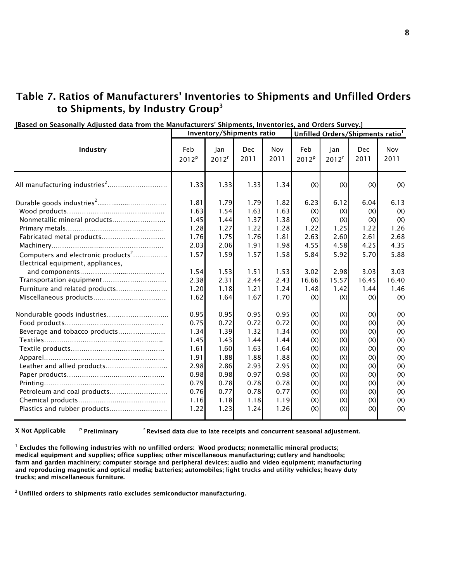# Table 7. Ratios of Manufacturers' Inventories to Shipments and Unfilled Orders to Shipments, by Industry Group<sup>3</sup>

|                                                |                          | <b>Inventory/Shipments ratio</b> |             |             |                          | Unfilled Orders/Shipments ratio <sup>1</sup> |             |             |
|------------------------------------------------|--------------------------|----------------------------------|-------------|-------------|--------------------------|----------------------------------------------|-------------|-------------|
| Industry                                       | Feb<br>2012 <sup>p</sup> | Jan<br>2012 <sup>r</sup>         | Dec<br>2011 | Nov<br>2011 | Feb<br>2012 <sup>p</sup> | Jan<br>2012 <sup>r</sup>                     | Dec<br>2011 | Nov<br>2011 |
|                                                | 1.33                     | 1.33                             | 1.33        | 1.34        | (X)                      | (X)                                          | (X)         | (X)         |
|                                                | 1.81                     | 1.79                             | 1.79        | 1.82        | 6.23                     | 6.12                                         | 6.04        | 6.13        |
|                                                | 1.63                     | 1.54                             | 1.63        | 1.63        | (X)                      | (X)                                          | (X)         | (X)         |
| Nonmetallic mineral products                   | 1.45                     | 1.44                             | 1.37        | 1.38        | (X)                      | (X)                                          | (X)         | (X)         |
|                                                | 1.28                     | 1.27                             | 1.22        | 1.28        | 1.22                     | 1.25                                         | 1.22        | 1.26        |
| Fabricated metal products                      | 1.76                     | 1.75                             | 1.76        | 1.81        | 2.63                     | 2.60                                         | 2.61        | 2.68        |
|                                                | 2.03                     | 2.06                             | 1.91        | 1.98        | 4.55                     | 4.58                                         | 4.25        | 4.35        |
| Computers and electronic products <sup>2</sup> | 1.57                     | 1.59                             | 1.57        | 1.58        | 5.84                     | 5.92                                         | 5.70        | 5.88        |
| Electrical equipment, appliances,              |                          |                                  |             |             |                          |                                              |             |             |
|                                                | 1.54                     | 1.53                             | 1.51        | 1.53        | 3.02                     | 2.98                                         | 3.03        | 3.03        |
| Transportation equipment                       | 2.38                     | 2.31                             | 2.44        | 2.43        | 16.66                    | 15.57                                        | 16.45       | 16.40       |
| Furniture and related products                 | 1.20                     | 1.18                             | 1.21        | 1.24        | 1.48                     | 1.42                                         | 1.44        | 1.46        |
|                                                | 1.62                     | 1.64                             | 1.67        | 1.70        | (X)                      | (X)                                          | (X)         | (X)         |
|                                                | 0.95                     | 0.95                             | 0.95        | 0.95        | (X)                      | (X)                                          | (X)         | (X)         |
|                                                | 0.75                     | 0.72                             | 0.72        | 0.72        | (X)                      | (X)                                          | (X)         | (X)         |
| Beverage and tobacco products                  | 1.34                     | 1.39                             | 1.32        | 1.34        | (X)                      | (X)                                          | (X)         | (X)         |
|                                                | 1.45                     | 1.43                             | 1.44        | 1.44        | (X)                      | (X)                                          | (X)         | (X)         |
|                                                | 1.61                     | 1.60                             | 1.63        | 1.64        | (X)                      | (X)                                          | (X)         | (X)         |
|                                                | 1.91                     | 1.88                             | 1.88        | 1.88        | (X)                      | (X)                                          | (X)         | (X)         |
| Leather and allied products                    | 2.98                     | 2.86                             | 2.93        | 2.95        | (X)                      | (X)                                          | (X)         | (X)         |
|                                                | 0.98                     | 0.98                             | 0.97        | 0.98        | (X)                      | (X)                                          | (X)         | (X)         |
|                                                | 0.79                     | 0.78                             | 0.78        | 0.78        | (X)                      | (X)                                          | (X)         | (X)         |
| Petroleum and coal products                    | 0.76                     | 0.77                             | 0.78        | 0.77        | (X)                      | (X)                                          | (X)         | (X)         |
|                                                | 1.16                     | 1.18                             | 1.18        | 1.19        | (X)                      | (X)                                          | (X)         | (X)         |
|                                                | 1.22                     | 1.23                             | 1.24        | 1.26        | (X)                      | (X)                                          | (X)         | (X)         |
|                                                |                          |                                  |             |             |                          |                                              |             |             |

[Based on Seasonally Adjusted data from the Manufacturers' Shipments, Inventories, and Orders Survey.]

 $X$  Not Applicable  $P$  Preliminary

<sup>r</sup> Revised data due to late receipts and concurrent seasonal adjustment.

<sup>1</sup> Excludes the following industries with no unfilled orders: Wood products; nonmetallic mineral products; medical equipment and supplies; office supplies; other miscellaneous manufacturing; cutlery and handtools; farm and garden machinery; computer storage and peripheral devices; audio and video equipment; manufacturing and reproducing magnetic and optical media; batteries; automobiles; light trucks and utility vehicles; heavy duty trucks; and miscellaneous furniture.

<sup>2</sup> Unfilled orders to shipments ratio excludes semiconductor manufacturing.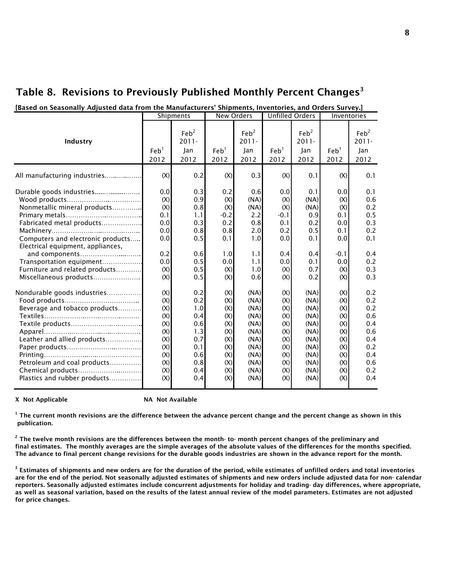|                                                                                                                                                                                                                                                                           | [Based on Seasonally Adjusted data from the Manufacturers' Shipments, Inventories, and Orders Survey.] |                                                                                  |                                                                                  |                                                                                              |                                                                                  |                                                                                              |                                                                                  |                                                                                  |  |  |  |  |  |
|---------------------------------------------------------------------------------------------------------------------------------------------------------------------------------------------------------------------------------------------------------------------------|--------------------------------------------------------------------------------------------------------|----------------------------------------------------------------------------------|----------------------------------------------------------------------------------|----------------------------------------------------------------------------------------------|----------------------------------------------------------------------------------|----------------------------------------------------------------------------------------------|----------------------------------------------------------------------------------|----------------------------------------------------------------------------------|--|--|--|--|--|
|                                                                                                                                                                                                                                                                           |                                                                                                        | Shipments                                                                        |                                                                                  | New Orders                                                                                   |                                                                                  | <b>Unfilled Orders</b>                                                                       | Inventories                                                                      |                                                                                  |  |  |  |  |  |
| Industry                                                                                                                                                                                                                                                                  | Feb <sup>1</sup><br>2012                                                                               | Feb <sup>2</sup><br>$2011 -$<br>Jan<br>2012                                      | Feb <sup>1</sup><br>2012                                                         | Feb <sup>2</sup><br>$2011 -$<br>Jan<br>2012                                                  | Feb <sup>1</sup><br>2012                                                         | Feb <sup>2</sup><br>$2011 -$<br>Jan<br>2012                                                  | Feb <sup>1</sup><br>2012                                                         | Feb <sup>2</sup><br>$2011 -$<br>Jan<br>2012                                      |  |  |  |  |  |
| All manufacturing industries                                                                                                                                                                                                                                              | (X)                                                                                                    | 0.2                                                                              | (X)                                                                              | 0.3                                                                                          | (X)                                                                              | 0.1                                                                                          | (X)                                                                              | 0.1                                                                              |  |  |  |  |  |
| Durable goods industries<br>Nonmetallic mineral products<br>Fabricated metal products<br>Computers and electronic products<br>Electrical equipment, appliances,<br>and components<br>Transportation equipment<br>Furniture and related products<br>Miscellaneous products | 0.0<br>(X)<br>(X)<br>0.1<br>0.0<br>0.0<br>0.0<br>0.2<br>0.0<br>(X)<br>(X)                              | 0.3<br>0.9<br>0.8<br>1.1<br>0.3<br>0.8<br>0.5<br>0.6<br>0.5<br>0.5<br>0.5        | 0.2<br>(X)<br>(X)<br>$-0.2$<br>0.2<br>0.8<br>0.1<br>1.0<br>0.0<br>(X)<br>(X)     | 0.6<br>(NA)<br>(NA)<br>2.2<br>0.8<br>2.0<br>1.0<br>1.1<br>1.1<br>1.0<br>0.6                  | 0.0<br>(X)<br>(X)<br>$-0.1$<br>0.1<br>0.2<br>0.0<br>0.4<br>0.0<br>(X)<br>(X)     | 0.1<br>(NA)<br>(NA)<br>0.9<br>0.2<br>0.5<br>0.1<br>0.4<br>0.1<br>0.7<br>0.2                  | 0.0<br>(X)<br>(X)<br>0.1<br>0.0<br>0.1<br>0.0<br>$-0.1$<br>0.0<br>(X)<br>(X)     | 0.1<br>0.6<br>0.2<br>0.5<br>0.3<br>0.2<br>0.1<br>0.4<br>0.2<br>0.3<br>0.3        |  |  |  |  |  |
| Nondurable goods industries<br>Beverage and tobacco products<br>Leather and allied products<br>Petroleum and coal products<br>Chemical products<br>Plastics and rubber products                                                                                           | (X)<br>(X)<br>(X)<br>(X)<br>(X)<br>(X)<br>(X)<br>(X)<br>(X)<br>(X)<br>(X)<br>(X)                       | 0.2<br>0.2<br>1.0<br>0.4<br>0.6<br>1.3<br>0.7<br>0.1<br>0.6<br>0.8<br>0.4<br>0.4 | (X)<br>(X)<br>(X)<br>(X)<br>(X)<br>(X)<br>(X)<br>(X)<br>(X)<br>(X)<br>(X)<br>(X) | (NA)<br>(NA)<br>(NA)<br>(NA)<br>(NA)<br>(NA)<br>(NA)<br>(NA)<br>(NA)<br>(NA)<br>(NA)<br>(NA) | (X)<br>(X)<br>(X)<br>(X)<br>(X)<br>(X)<br>(X)<br>(X)<br>(X)<br>(X)<br>(X)<br>(X) | (NA)<br>(NA)<br>(NA)<br>(NA)<br>(NA)<br>(NA)<br>(NA)<br>(NA)<br>(NA)<br>(NA)<br>(NA)<br>(NA) | (X)<br>(X)<br>(X)<br>(X)<br>(X)<br>(X)<br>(X)<br>(X)<br>(X)<br>(X)<br>(X)<br>(X) | 0.2<br>0.2<br>0.2<br>0.6<br>0.4<br>0.6<br>0.4<br>0.2<br>0.4<br>0.6<br>0.2<br>0.4 |  |  |  |  |  |

# Table 8. Revisions to Previously Published Monthly Percent Changes<sup>3</sup>

#### X Not Applicable NA Not Available

 $^1$  The current month revisions are the difference between the advance percent change and the percent change as shown in this publication.

 $^{\rm 2}$  The twelve month revisions are the differences between the month- to- month percent changes of the preliminary and final estimates. The monthly averages are the simple averages of the absolute values of the differences for the months specified. The advance to final percent change revisions for the durable goods industries are shown in the advance report for the month.

 $^3$  Estimates of shipments and new orders are for the duration of the period, while estimates of unfilled orders and total inventories are for the end of the period. Not seasonally adjusted estimates of shipments and new orders include adjusted data for non- calendar reporters. Seasonally adjusted estimates include concurrent adjustments for holiday and trading- day differences, where appropriate, as well as seasonal variation, based on the results of the latest annual review of the model parameters. Estimates are not adjusted for price changes.